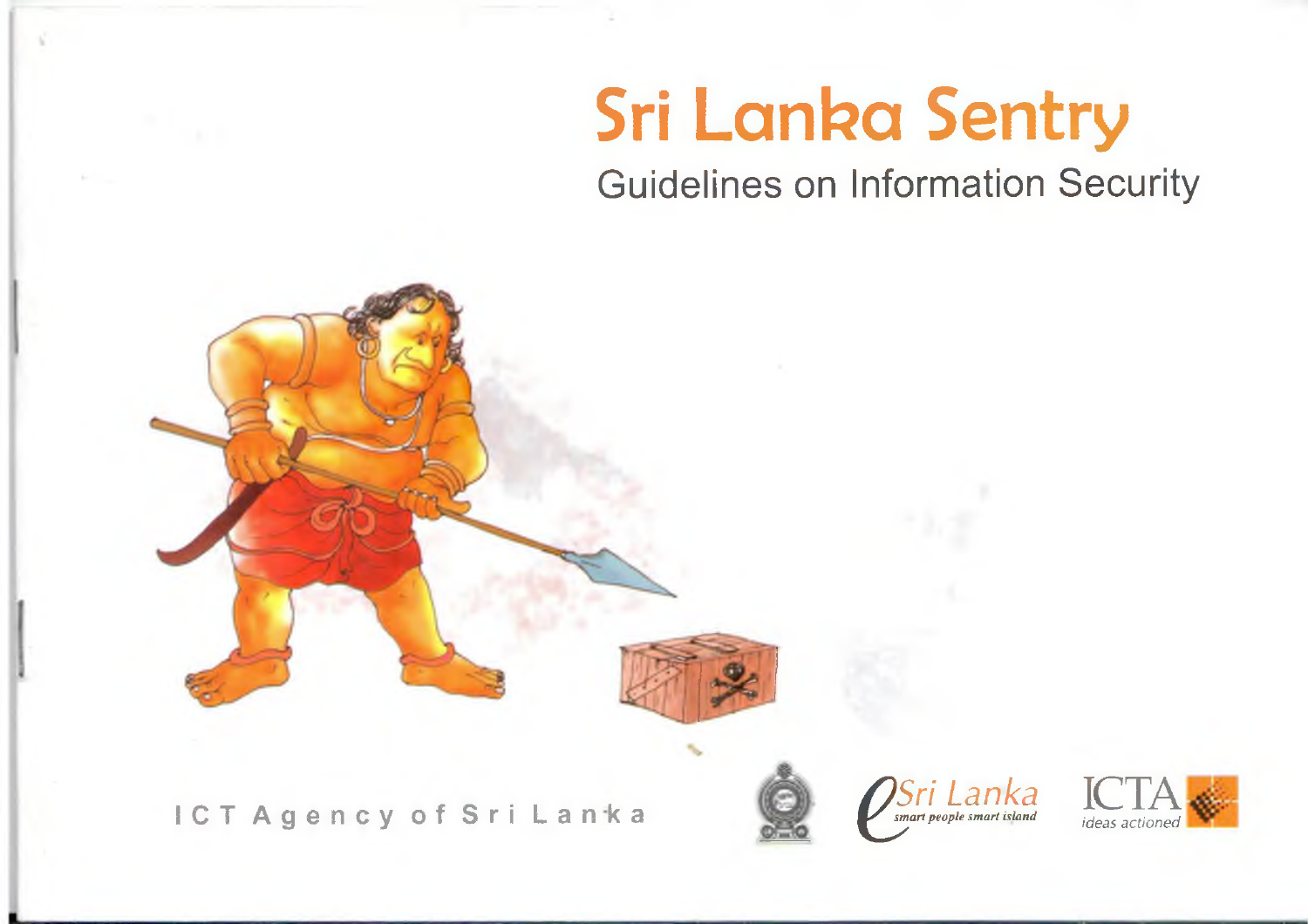# **Sri Lanka Sentry**

Guidelines on Information Security







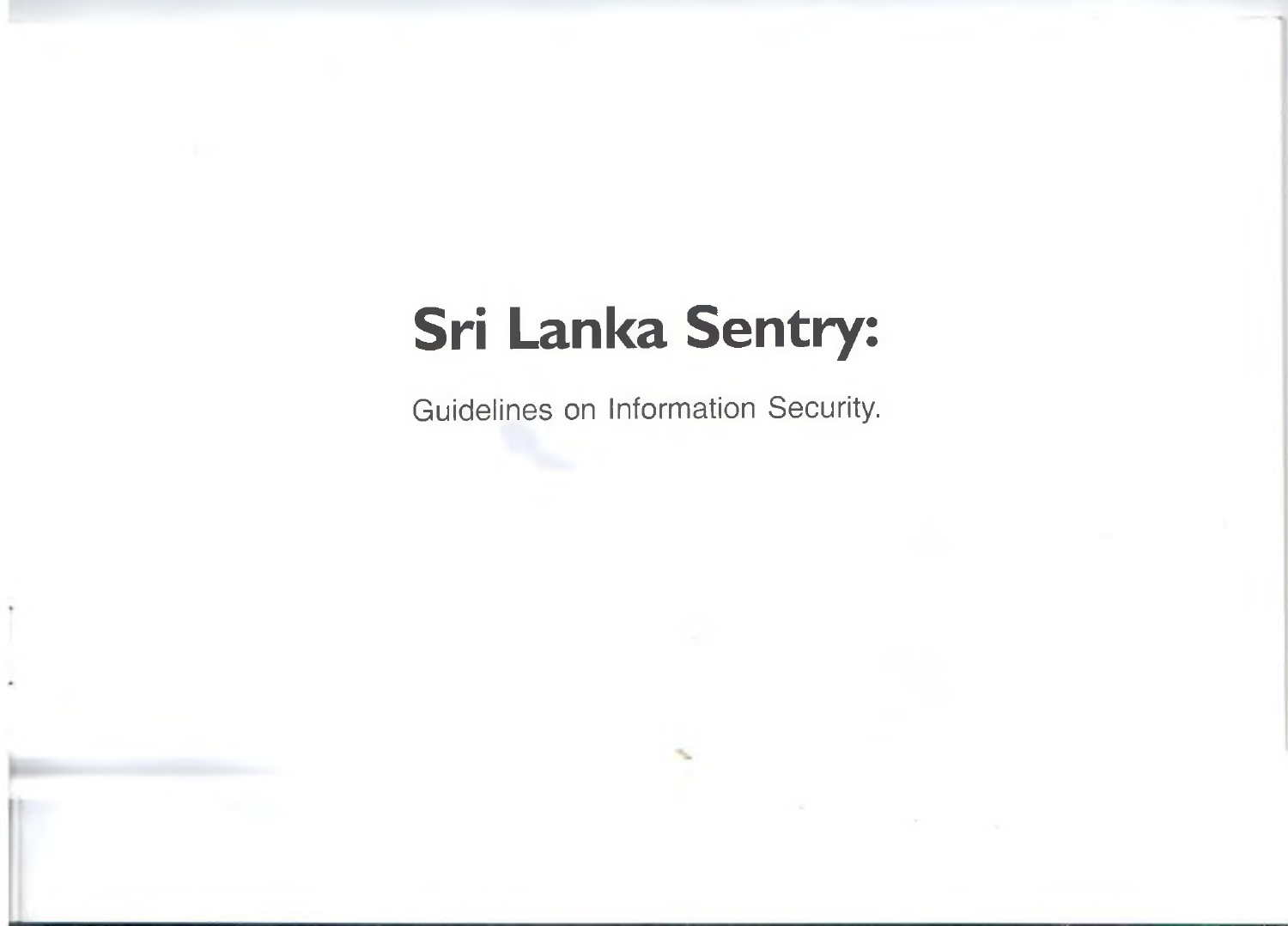# **Sri Lanka Sentry:**<br>Guidelines on Information Security.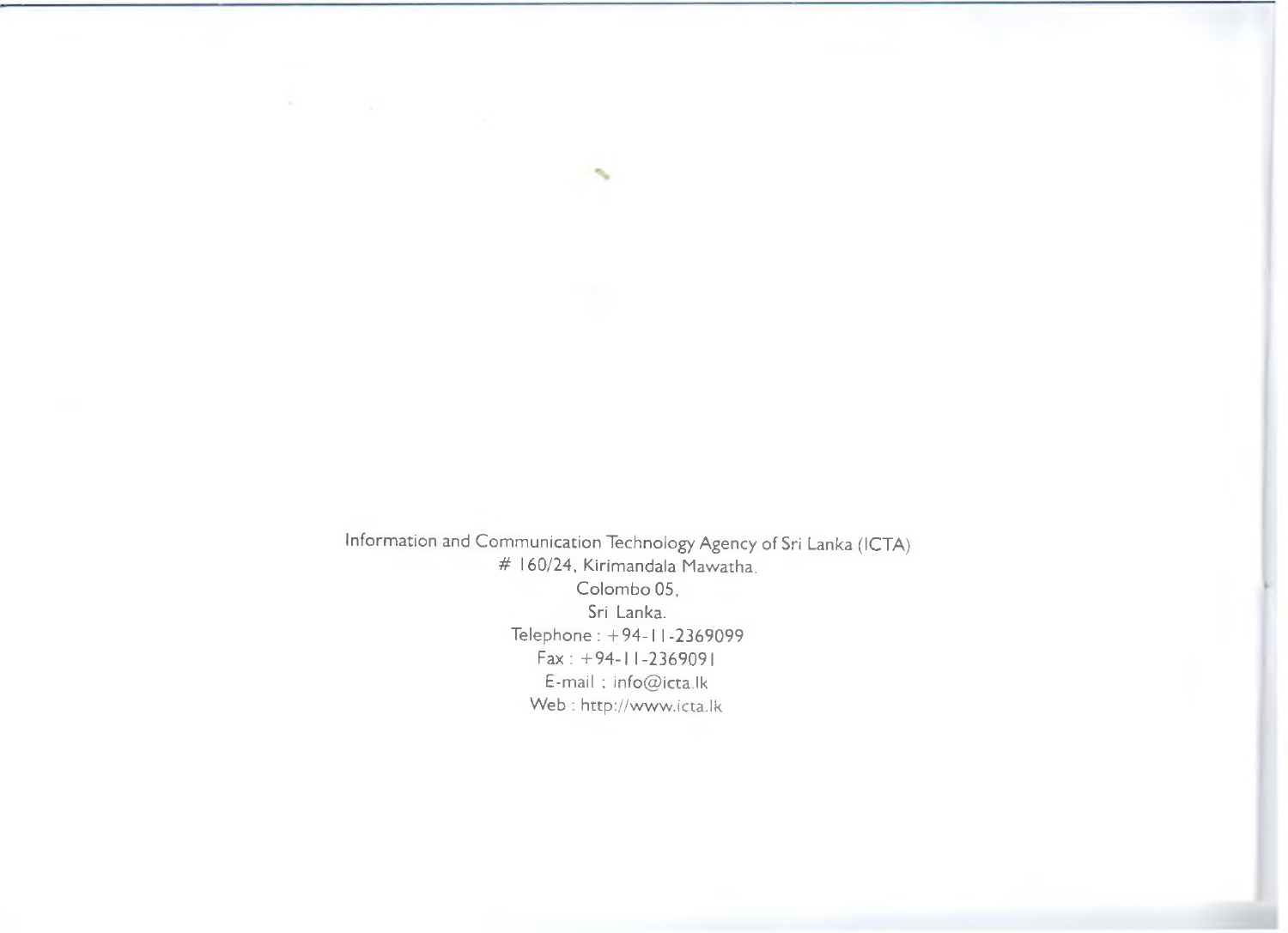Information and Communication Technology Agency of Sri Lanka (ICTA) # 160/24, Kirimandala Mawatha. Colombo 05. Sri Lanka. Telephone: +94-1 1-2369099 Fax : +94-1 1-2369091 E-mail : info@ icta.!k Web : http://www.icta.lk

×.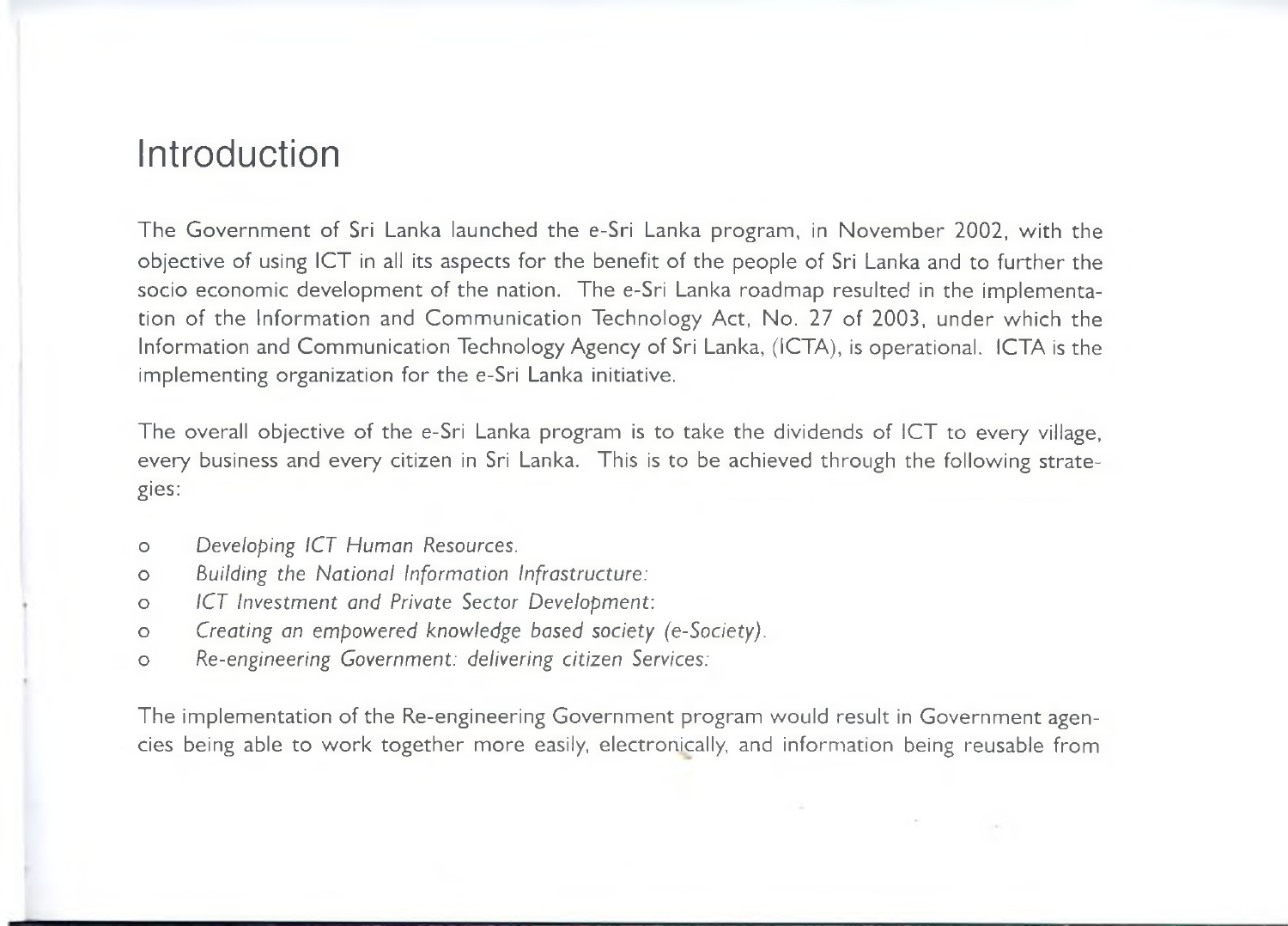## Introduction

The Government of Sri Lanka launched the e-Sri Lanka program, in November 2002, with the objective of using ICT in all its aspects for the benefit of the people of Sri Lanka and to further the socio economic development of the nation. The e-Sri Lanka roadmap resulted in the implementation of the Information and Communication Technology Act, No. 27 of 2003, under which the Information and Communication Technology Agency of Sri Lanka, (ICTA), is operational. ICTA is the implementing organization for the e-Sri Lanka initiative.

The overall objective of the e-Sri Lanka program is to take the dividends of ICT to every village, every business and every citizen in Sri Lanka. This is to be achieved through the following strategies:

- o *Developing ICT Human Resources.*
- o *Building the National Information Infrastructure:*
- *o ICT Investment and Private Sector Development:*
- *o Creating an empowered knowledge based society (e-Society).*
- *o Re-engineering Government: delivering citizen Services:*

The implementation of the Re-engineering Government program would result in Government agencies being able to work together more easily, electronically, and information being reusable from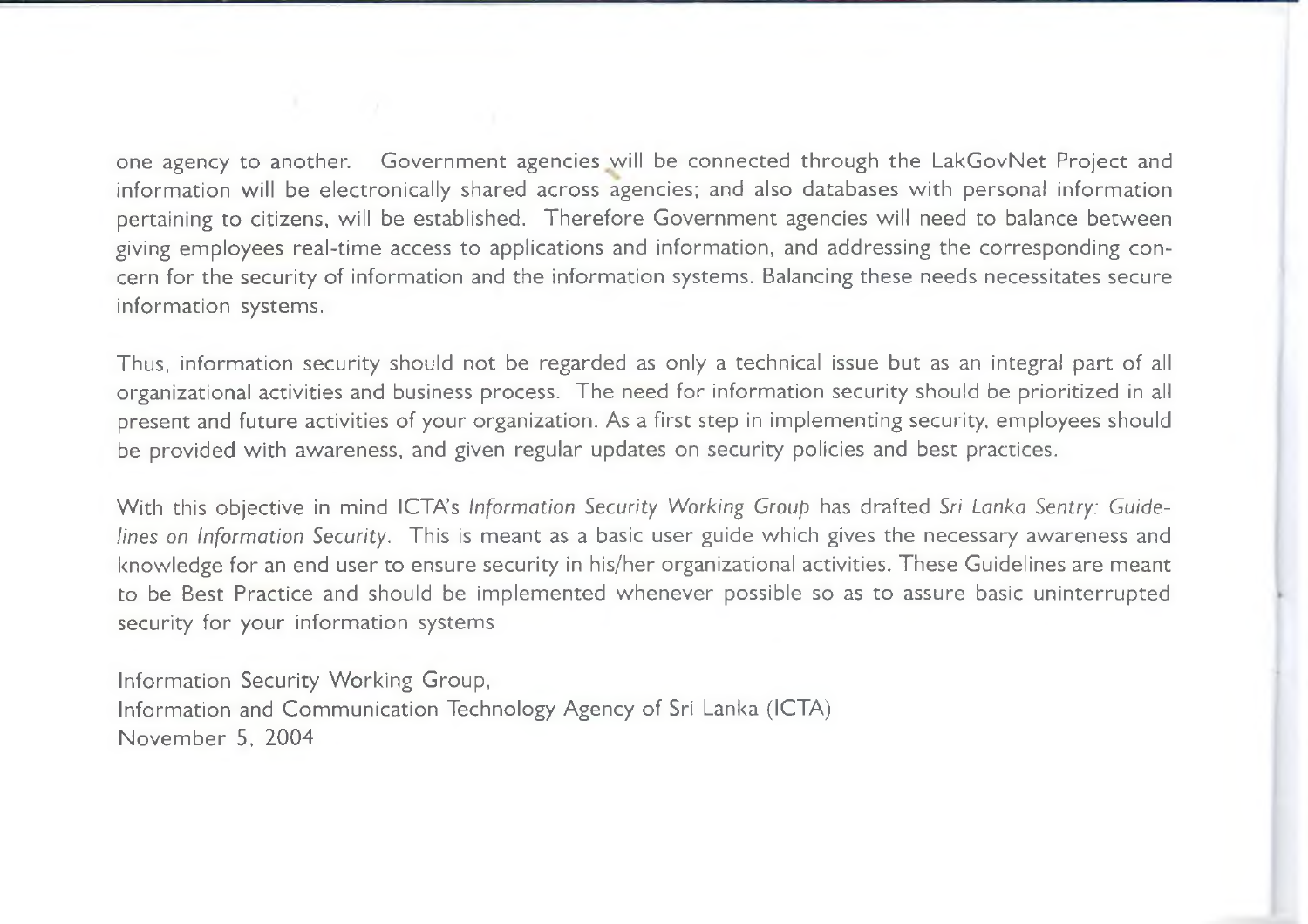one agency to another. Government agencies will be connected through the LakGovNet Project and information will be electronically shared across agencies; and also databases with personal information pertaining to citizens, will be established. Therefore Government agencies will need to balance between giving employees real-time access to applications and information, and addressing the corresponding concern for the security of information and the information systems. Balancing these needs necessitates secure information systems.

Thus, information security should not be regarded as only a technical issue but as an integral part of all organizational activities and business process. The need for information security should be prioritized in all present and future activities of your organization. As a first step in implementing security, employees should be provided with awareness, and given regular updates on security policies and best practices.

With this objective in mind ICTA's Information Security Working Group has drafted Sri Lanka Sentry: Guide*lines on Information Security.* This is meant as a basic user guide which gives the necessary awareness and knowledge for an end user to ensure security in his/her organizational activities. These Guidelines are meant to be Best Practice and should be implemented whenever possible so as to assure basic uninterrupted security for your information systems

Information Security Working Group, Information and Communication Technology Agency of Sri Lanka (ICTA) November 5, 2004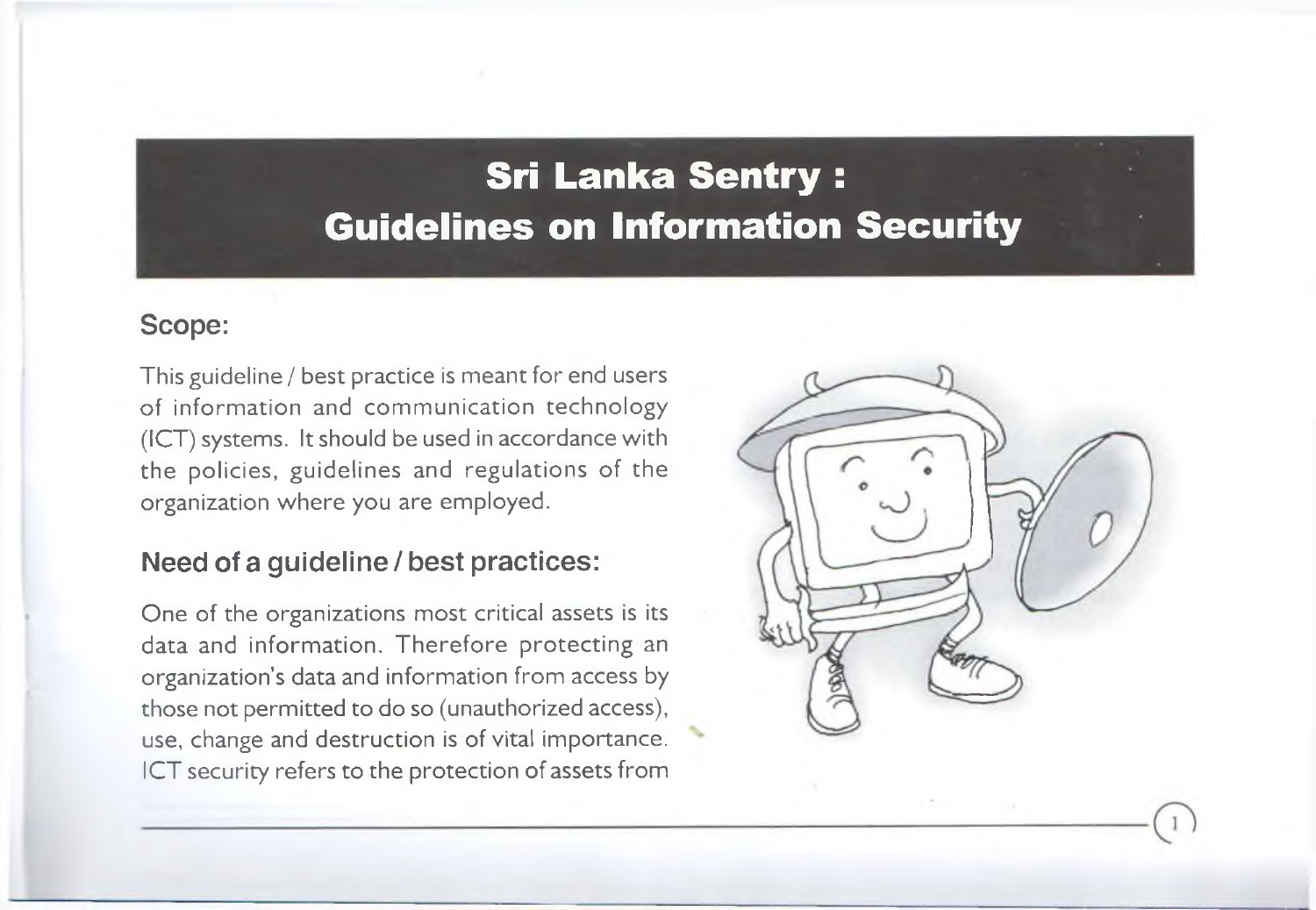# **Sri Lanka Sentry : Guidelines on Information Security**

#### Scope:

This guideline / best practice is meant for end users of information and communication technology (ICT) systems. It should be used in accordance with the policies, guidelines and regulations of the organization where you are employed.

#### Need of a guideline / best practices:

One of the organizations most critical assets is its data and information. Therefore protecting an organization's data and information from access by those not permitted to do so (unauthorized access), use, change and destruction is of vital importance. ICT security refers to the protection of assets from

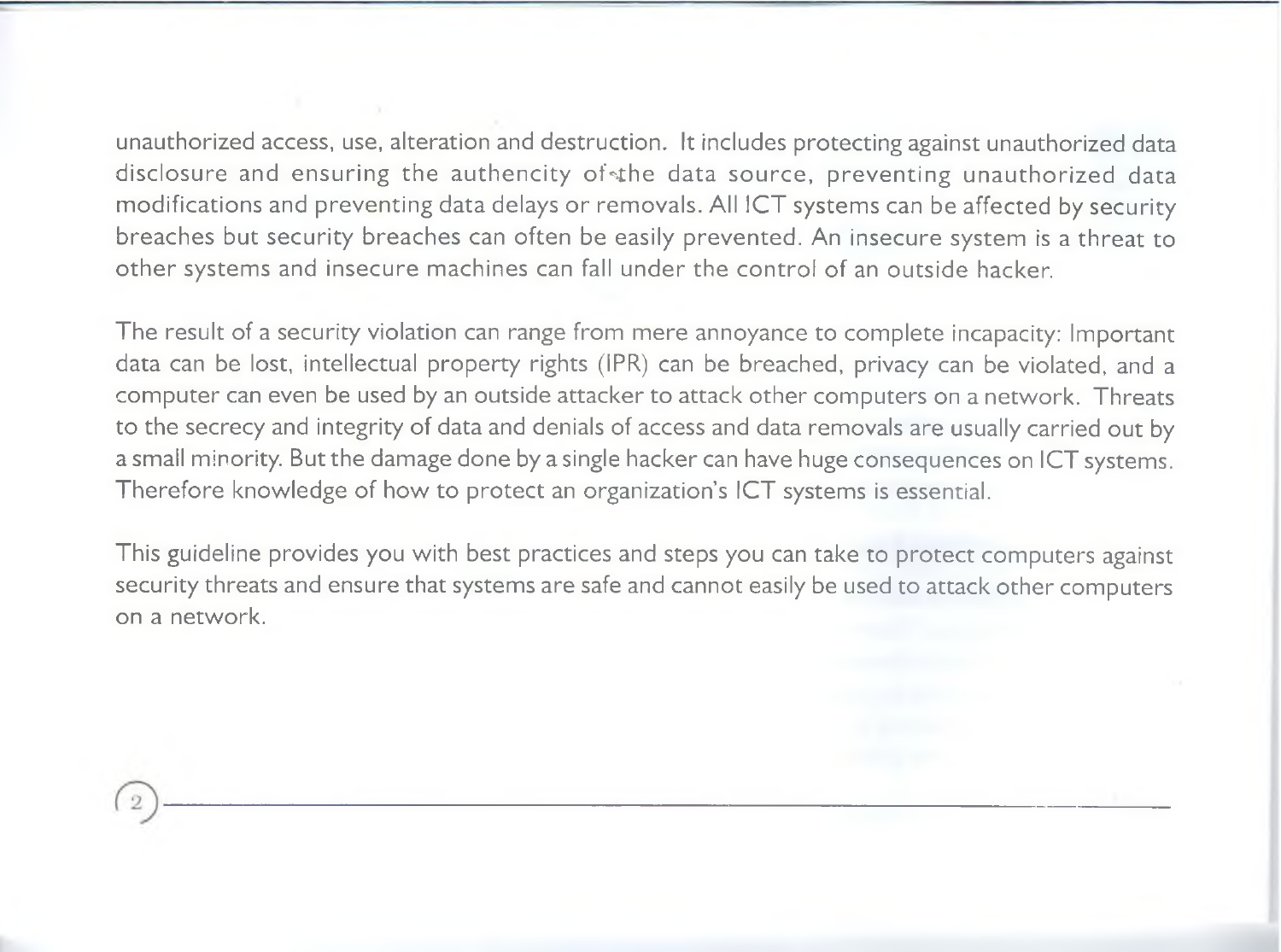unauthorized access, use, alteration and destruction. It includes protecting against unauthorized data disclosure and ensuring the authencity of the data source, preventing unauthorized data modifications and preventing data delays or removals. All ICT systems can be affected by security breaches but security breaches can often be easily prevented. An insecure system is a threat to other systems and insecure machines can fall under the control of an outside hacker.

The result of a security violation can range from mere annoyance to complete incapacity: Important data can be lost, intellectual property rights (IPR) can be breached, privacy can be violated, and a computer can even be used by an outside attacker to attack other computers on a network. Threats to the secrecy and integrity of data and denials of access and data removals are usually carried out by a small minority. But the damage done by a single hacker can have huge consequences on ICT systems. Therefore knowledge of how to protect an organization's ICT systems is essential.

This guideline provides you with best practices and steps you can take to protect computers against security threats and ensure that systems are safe and cannot easily be used to attack other computers on a network.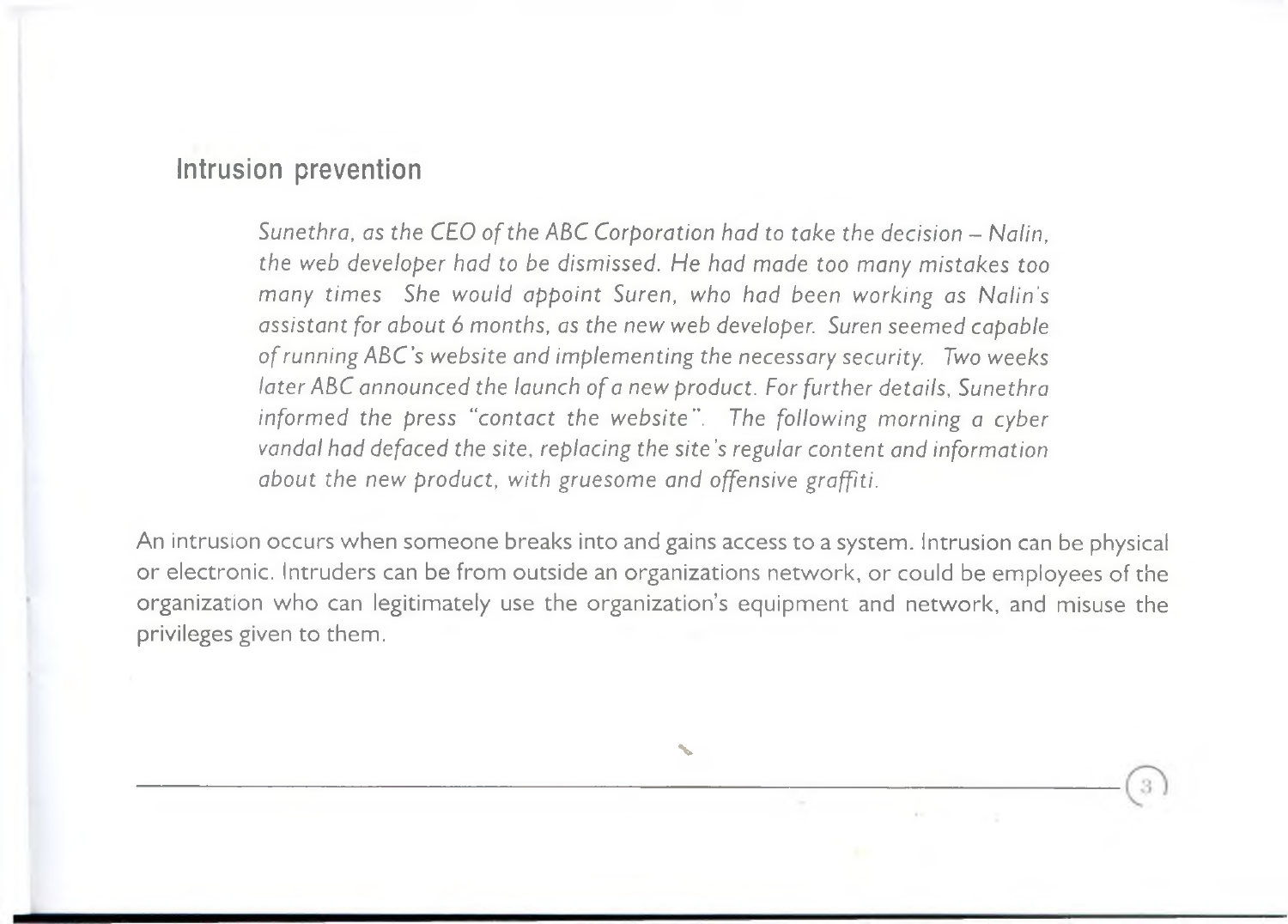#### Intrusion prevention

Sunethra, as the CEO of the ABC Corporation had to take the decision - Nalin. *the web developer had to be dismissed. He had made too many mistakes too many times She would appoint Suren, who had been working as Nalin's assistant for about 6 months, as the new web developer. Suren seemed capable o f running ABC's website and implementing the necessary security. Two weeks later ABC announced the launch of a new product. For further details, Sunethra informed the press "contact the website". The following morning a cyber vandal had defaced the site, replacing the site's regular content and information about the new product, with gruesome and offensive graffiti.*

An intrusion occurs when someone breaks into and gains access to a system. Intrusion can be physical or electronic. Intruders can be from outside an organizations network, or could be employees of the organization who can legitimately use the organization's equipment and network, and misuse the privileges given to them.

**s.**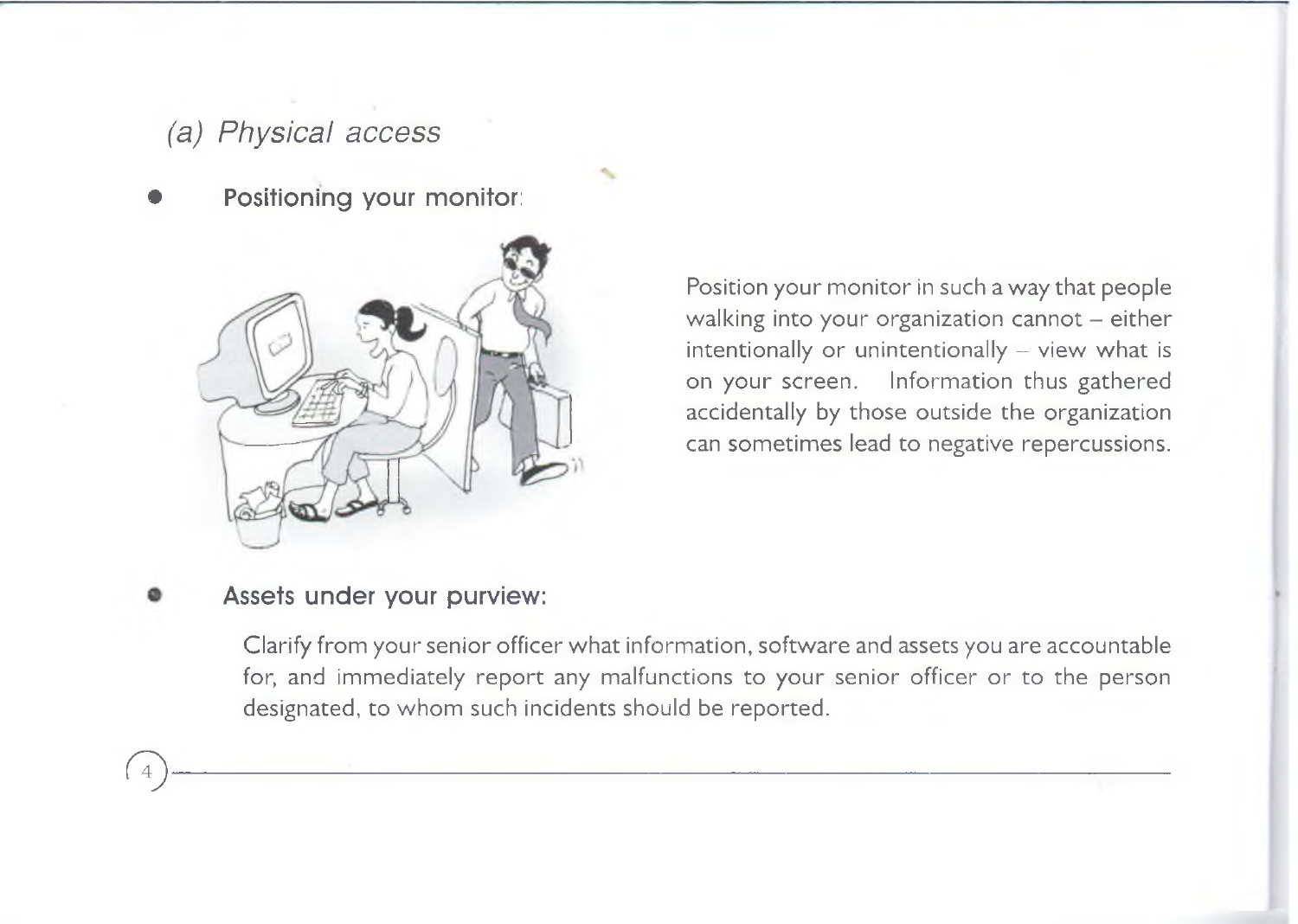### *(a) Physical access*

Positioning your monitor:



Position your monitor in such a way that people walking into your organization cannot  $-$  either intentionally or unintentionally  $-$  view what is on your screen. Information thus gathered accidentally by those outside the organization can sometimes lead to negative repercussions.

#### Assets under your purview:

<sup>4</sup>

Clarify from your senior officer what information, software and assets you are accountable for, and immediately report any malfunctions to your senior officer or to the person designated, to whom such incidents should be reported.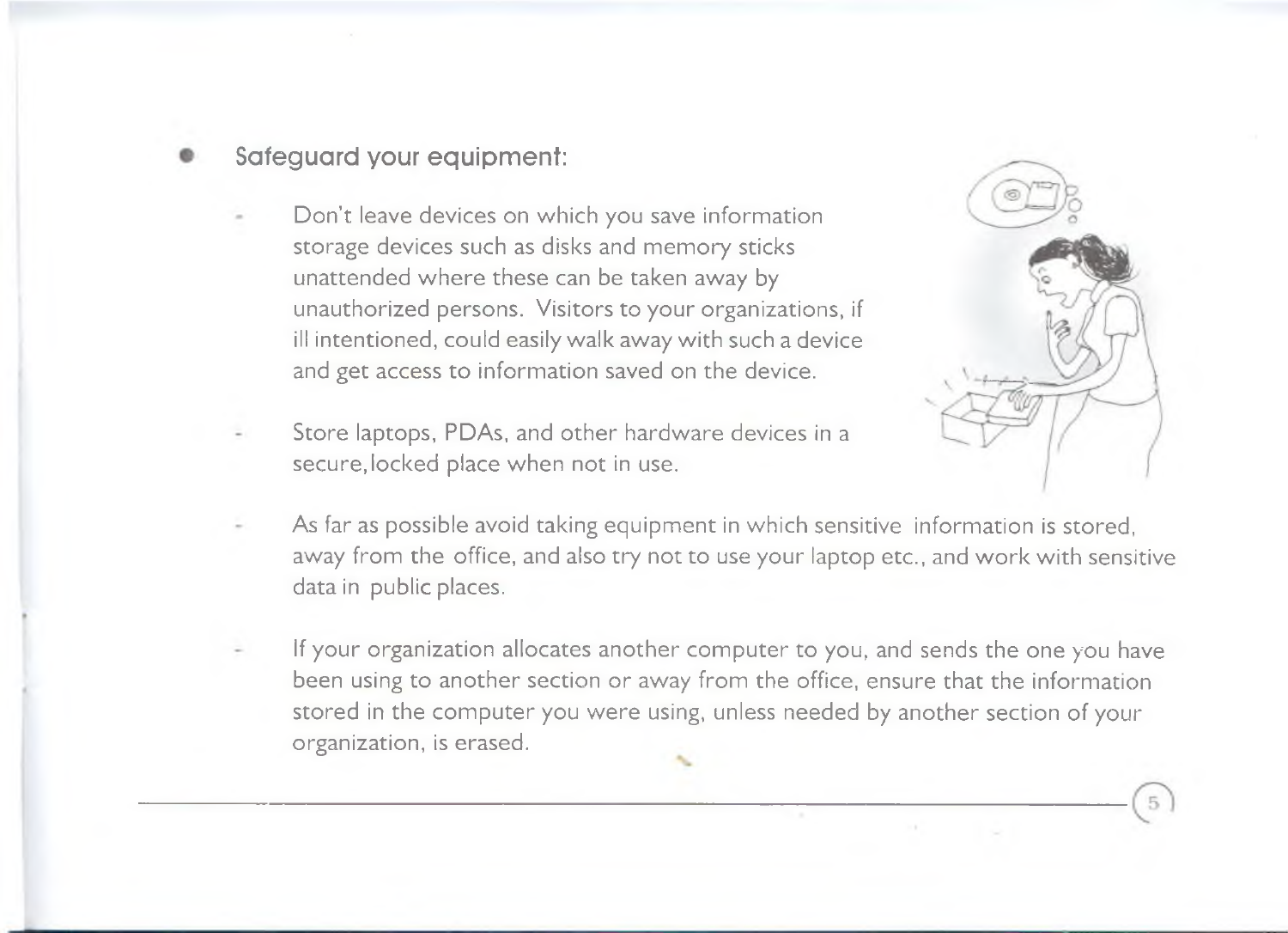#### Safeguard your equipment:

- Don't leave devices on which you save information storage devices such as disks and memory sticks unattended where these can be taken away by unauthorized persons. Visitors to your organizations, if ill intentioned, could easily walk away with such a device and get access to information saved on the device.
- Store laptops, PDAs, and other hardware devices in a secure, locked place when not in use.



- As far as possible avoid taking equipment in which sensitive information is stored, away from the office, and also try not to use your laptop etc., and work with sensitive data in public places.
- If your organization allocates another computer to you, and sends the one you have been using to another section or away from the office, ensure that the information stored in the computer you were using, unless needed by another section of your organization, is erased.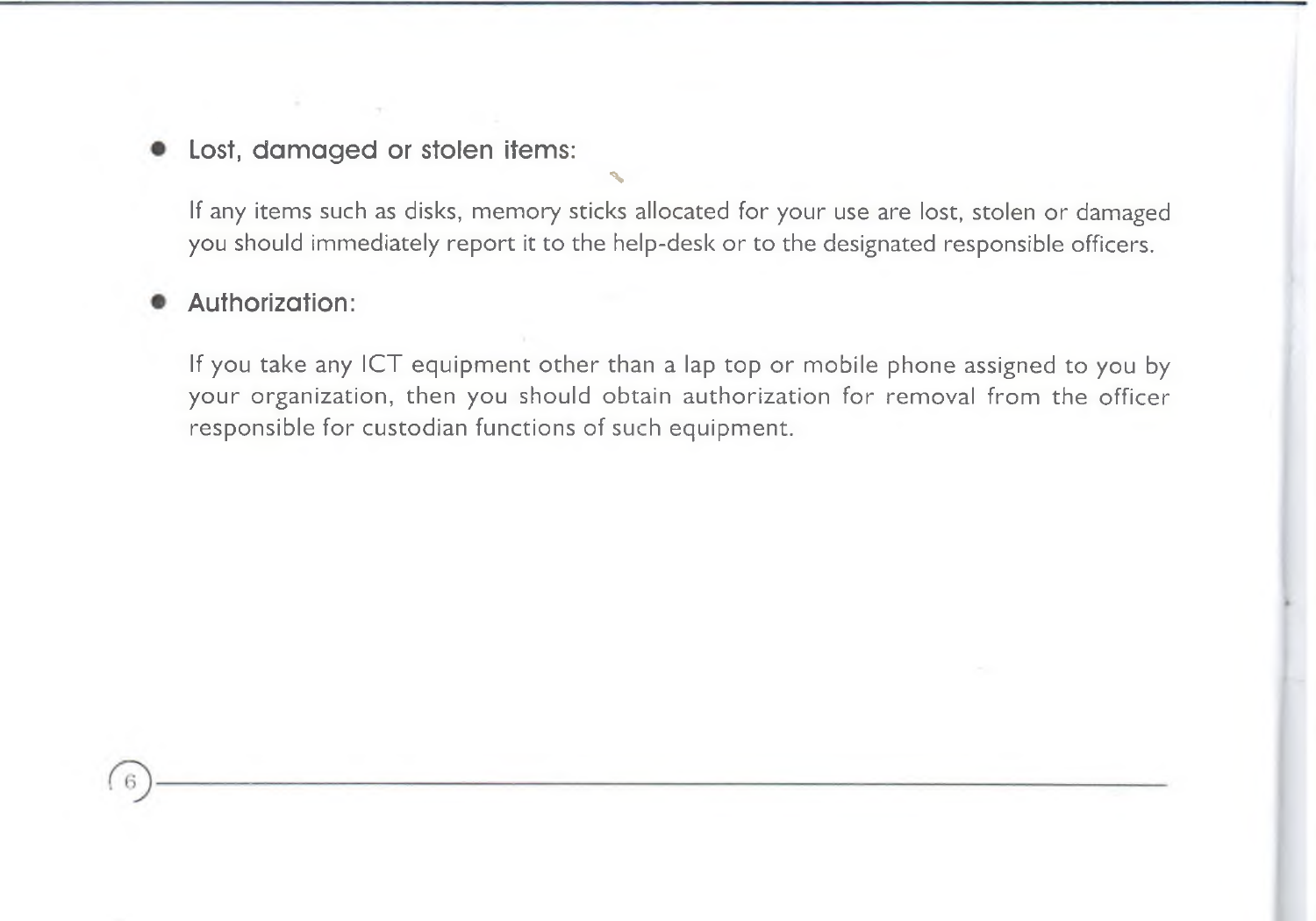Lost, damaged or stolen items:

If any items such as disks, memory sticks allocated for your use are lost, stolen or damaged you should immediately report it to the help-desk or to the designated responsible officers.

%

#### Authorization:

If you take any ICT equipment other than a lap top or mobile phone assigned to you by your organization, then you should obtain authorization for removal from the officer responsible for custodian functions of such equipment.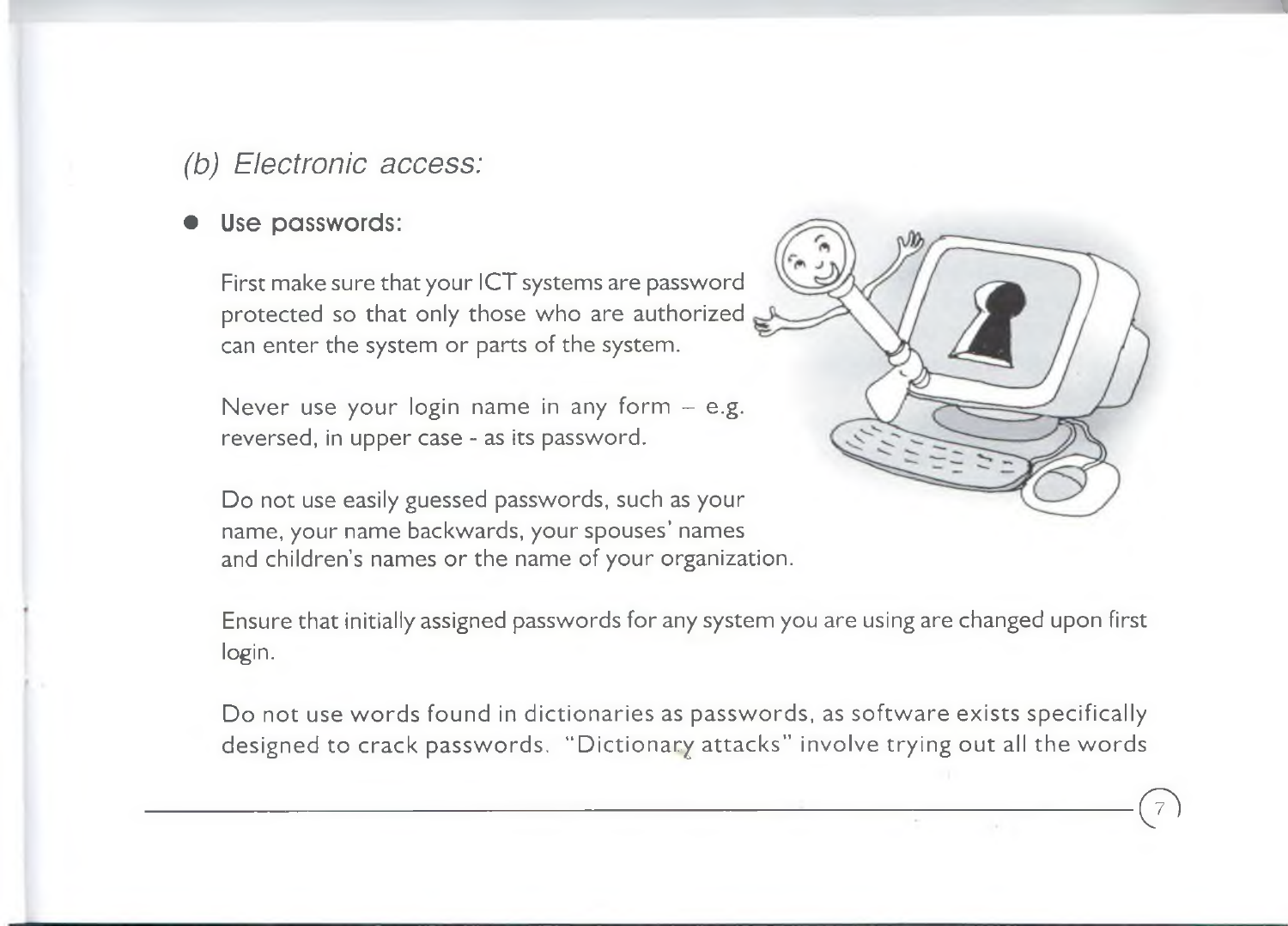#### *(b) Electronic access:*

#### Use passwords:

First make sure that your ICT systems are password protected so that only those who are authorized can enter the system or parts of the system.

Never use your login name in any form  $-$  e.g. reversed, in upper case - as its password.

Do not use easily guessed passwords, such as your name, your name backwards, your spouses' names and children's names or the name of your organization.



 $\bigodot$ 

Ensure that initially assigned passwords for any system you are using are changed upon first login.

Do not use words found in dictionaries as passwords, as software exists specifically designed to crack passwords. "Dictionary attacks" involve trying out all the words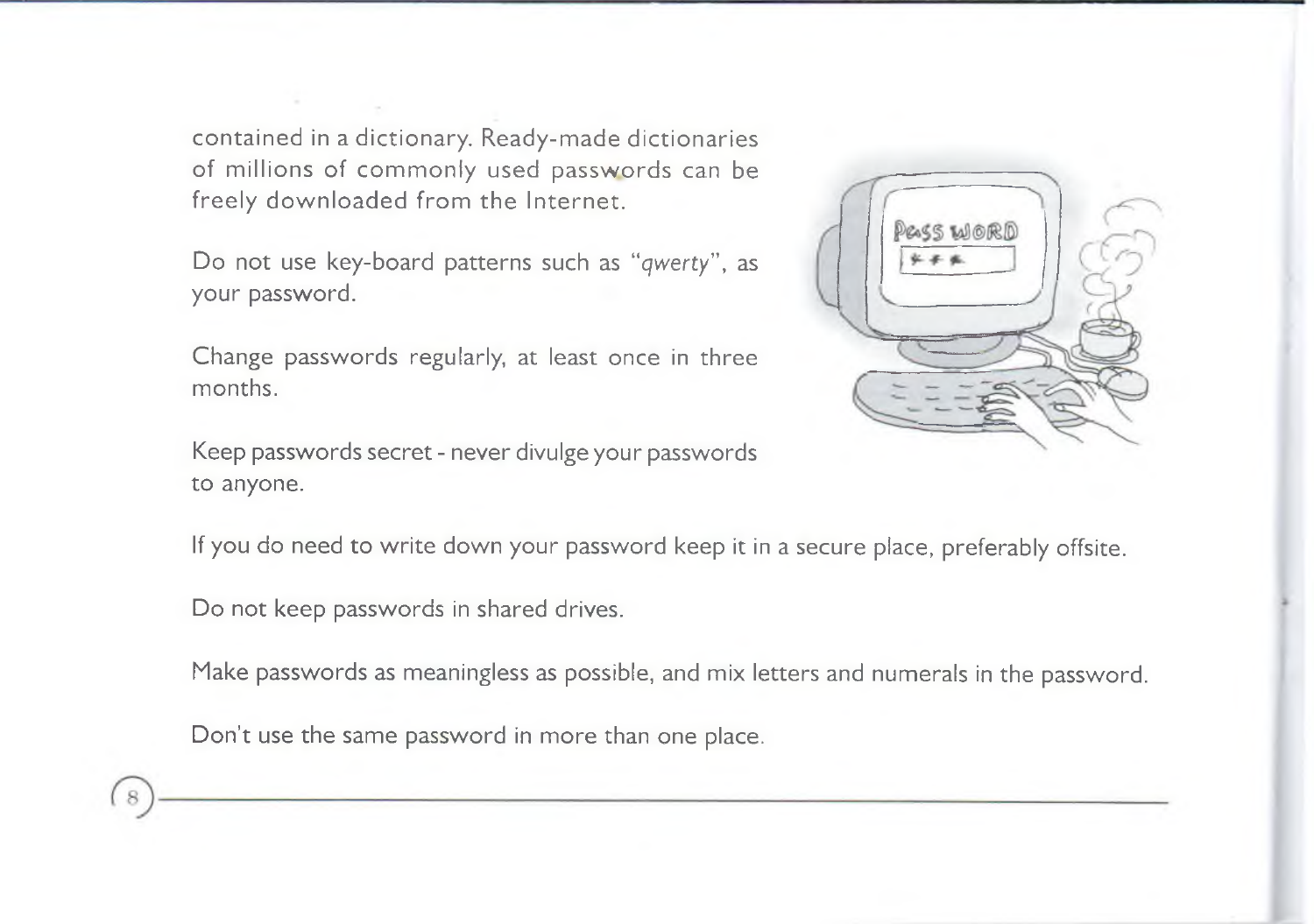contained in a dictionary. Ready-made dictionaries of millions of commonly used passwords can be freely downloaded from the Internet.

Do not use key-board patterns such as "*qwerty*", as your password.

Change passwords regularly, at least once in three months.

Keep passwords secret - never divulge your passwords to anyone.



If you do need to write down your password keep it in a secure place, preferably offsite.

Do not keep passwords in shared drives.

Make passwords as meaningless as possible, and mix letters and numerals in the password.

Don't use the same password in more than one place.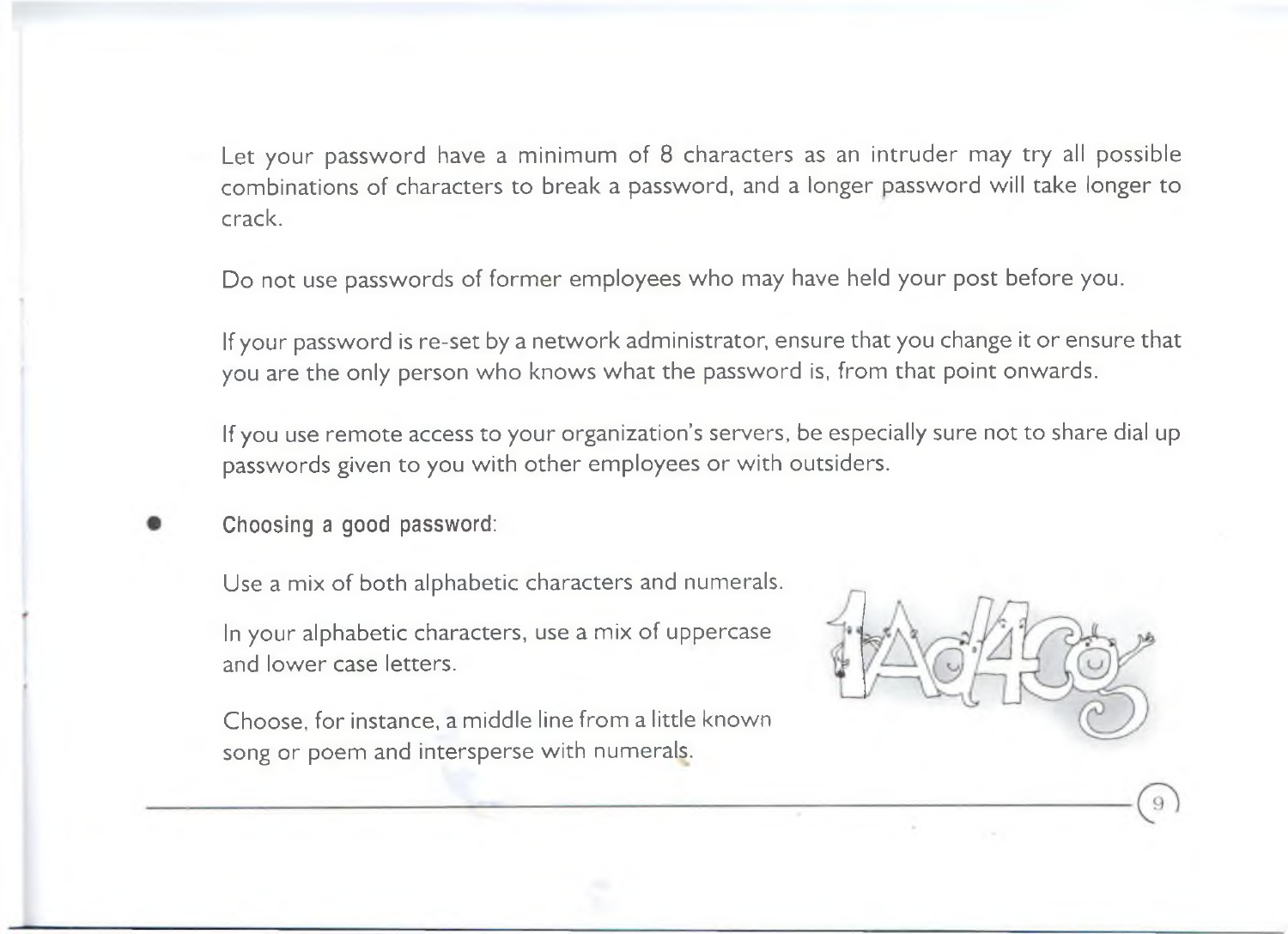Let your password have a minimum of 8 characters as an intruder may try all possible combinations of characters to break a password, and a longer password will take longer to crack.

Do not use passwords of former employees who may have held your post before you.

If your password is re-set by a network administrator, ensure that you change it or ensure that you are the only person who knows what the password is, from that point onwards.

If you use rem ote access to your organization's servers, be especially sure not to share dial up passwords given to you with other employees or with outsiders.

Choosing a good password:

Use a mix of both alphabetic characters and numerals.

In your alphabetic characters, use a mix of uppercase and lower case letters.

Choose, for instance, a middle line from a little known song or poem and intersperse with numerals.

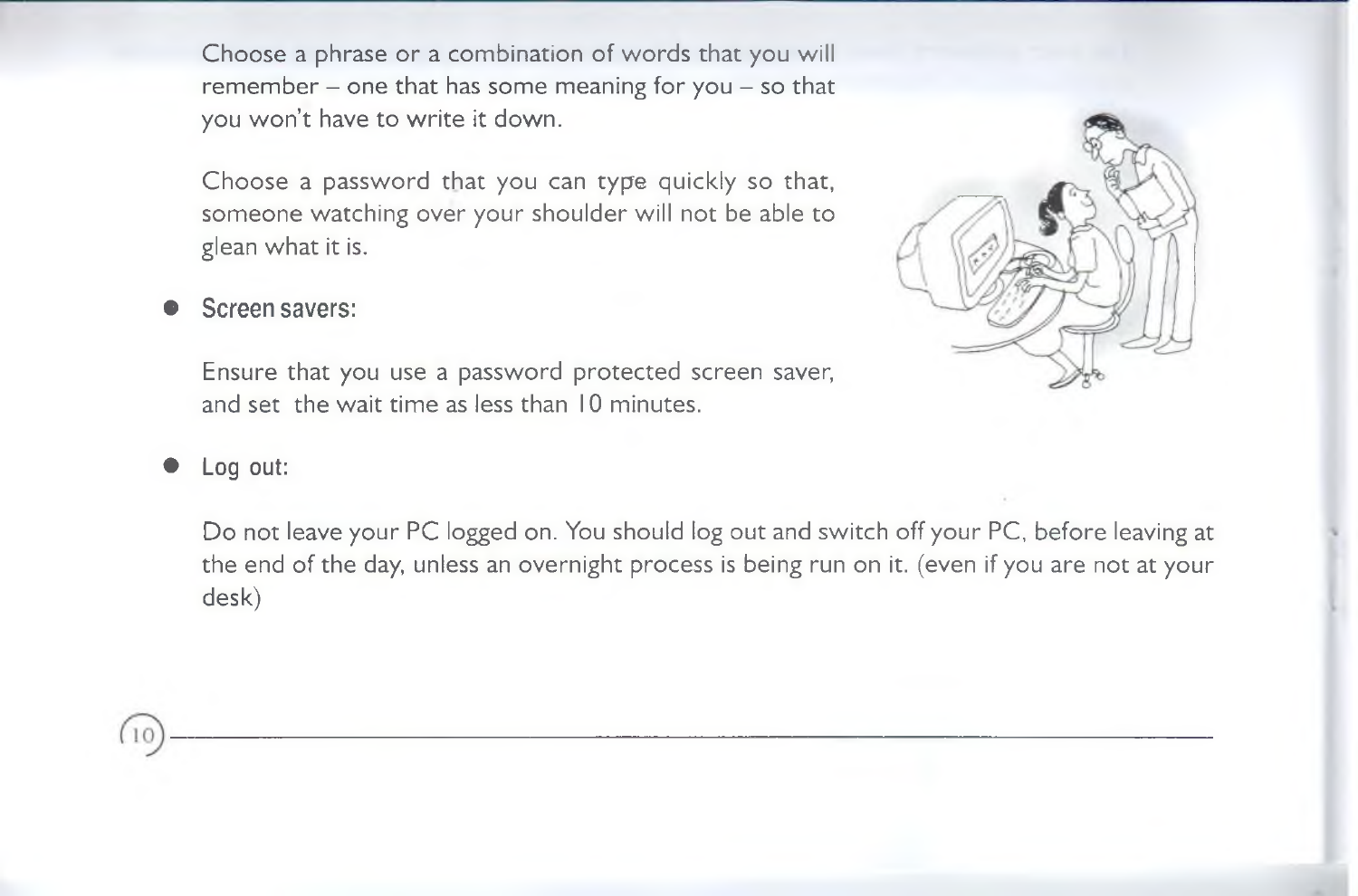Choose a phrase or a combination of words that you will rem em ber - one that has some meaning for you - so that you won't have to write it down.

Choose a password that you can type quickly so that, someone watching over your shoulder will not be able to glean what it is.



#### Screen savers:

Ensure that you use a password protected screen saver, and set the wait time as less than 10 minutes.

Log out:

Do not leave your PC logged on. You should log out and switch off your PC, before leaving at the end of the day, unless an overnight process is being run on it. (even if you are not at your desk)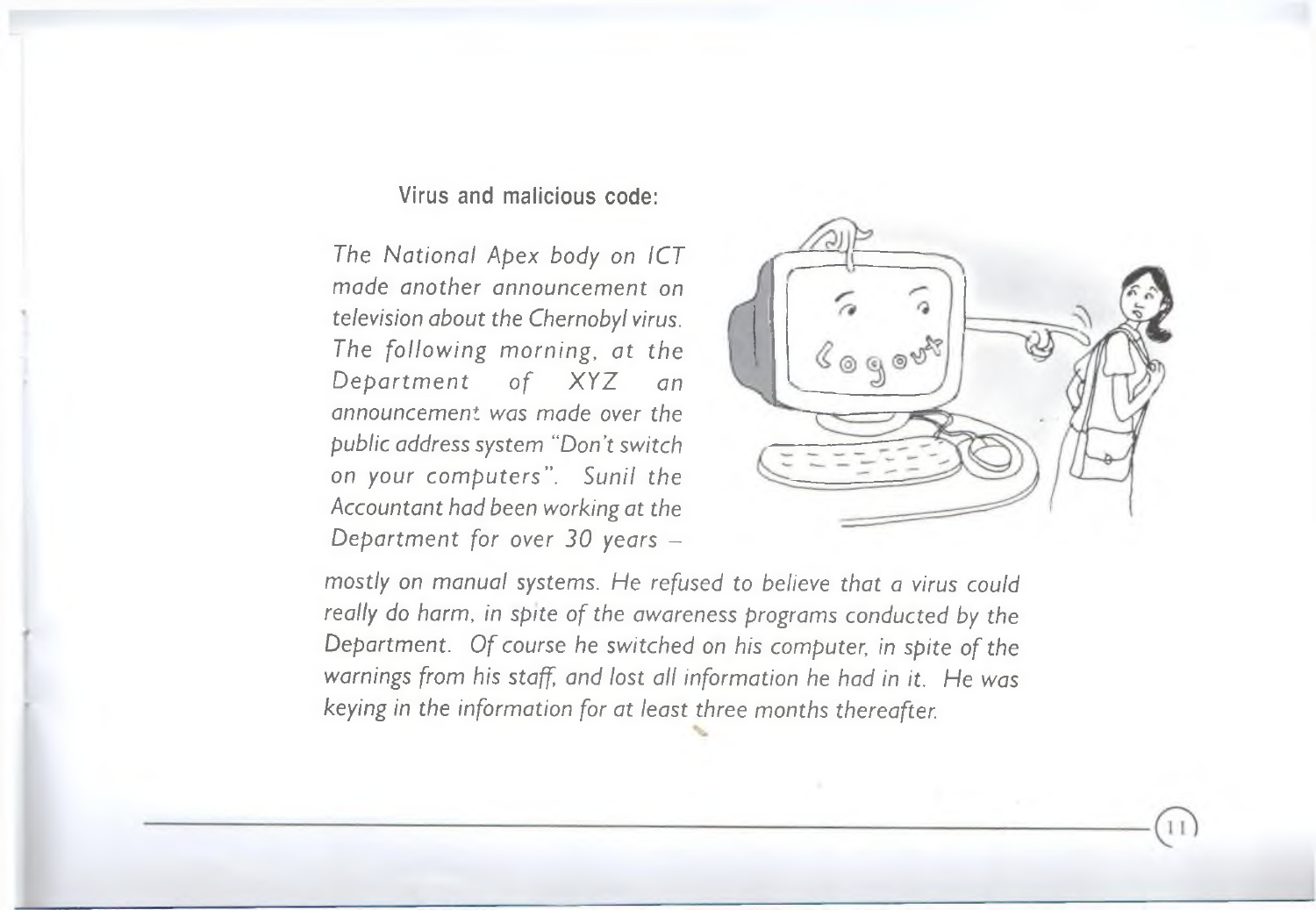Virus and malicious code:

*The N ational Apex body on ICT made another announcement on television about the Chernobyl virus. The follow ing m orning, at the* Department of XYZ an *announcement was made over the public address system "Don't switch on your com puters". Sunil the Accountant had been working at the Department for over 30 years* -



*mostly on manual systems. He refused to believe that a virus could really do harm, in spite of the awareness programs conducted by the* Department. Of course he switched on his computer, in spite of the *warnings from his staff, and lost all information he had in it. He was keying in the information for at least three months thereafter.*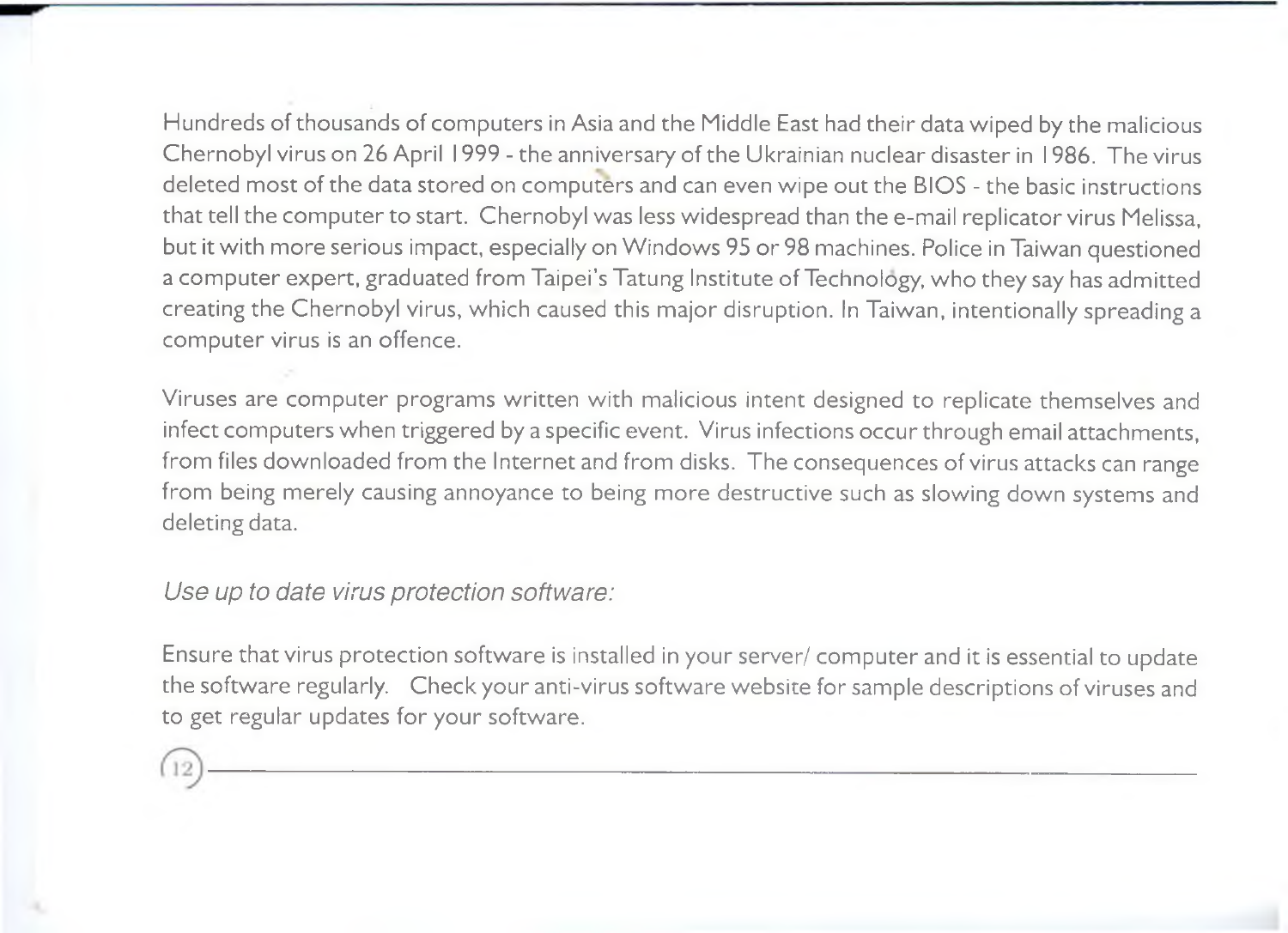Hundreds of thousands of computers in Asia and the Middle East had their data wiped by the malicious Chernobyl virus on 26 April 1999 - the anniversary of the Ukrainian nuclear disaster in 1986. The virus deleted most of the data stored on computers and can even wipe out the BIOS - the basic instructions that tell the computer to start. Chernobyl was less widespread than the e-mail replicator virus Melissa, but it with more serious impact, especially on Windows 95 or 98 machines. Police in Taiwan questioned a computer expert, graduated from Taipei's Tatung Institute of Technology, who they say has admitted creating the Chernobyl virus, which caused this major disruption. In Taiwan, intentionally spreading a computer virus is an offence.

Viruses are computer programs written with malicious intent designed to replicate themselves and infect computers when triggered by a specific event. Virus infections occur through email attachments, from files downloaded from the Internet and from disks. The consequences of virus attacks can range from being merely causing annoyance to being more destructive such as slowing down systems and deleting data.

*Use up to date virus protection software:*

Ensure that virus protection software is installed in your server/ computer and it is essential to update the software regularly. Check your anti-virus software website for sample descriptions of viruses and to get regular updates for your software.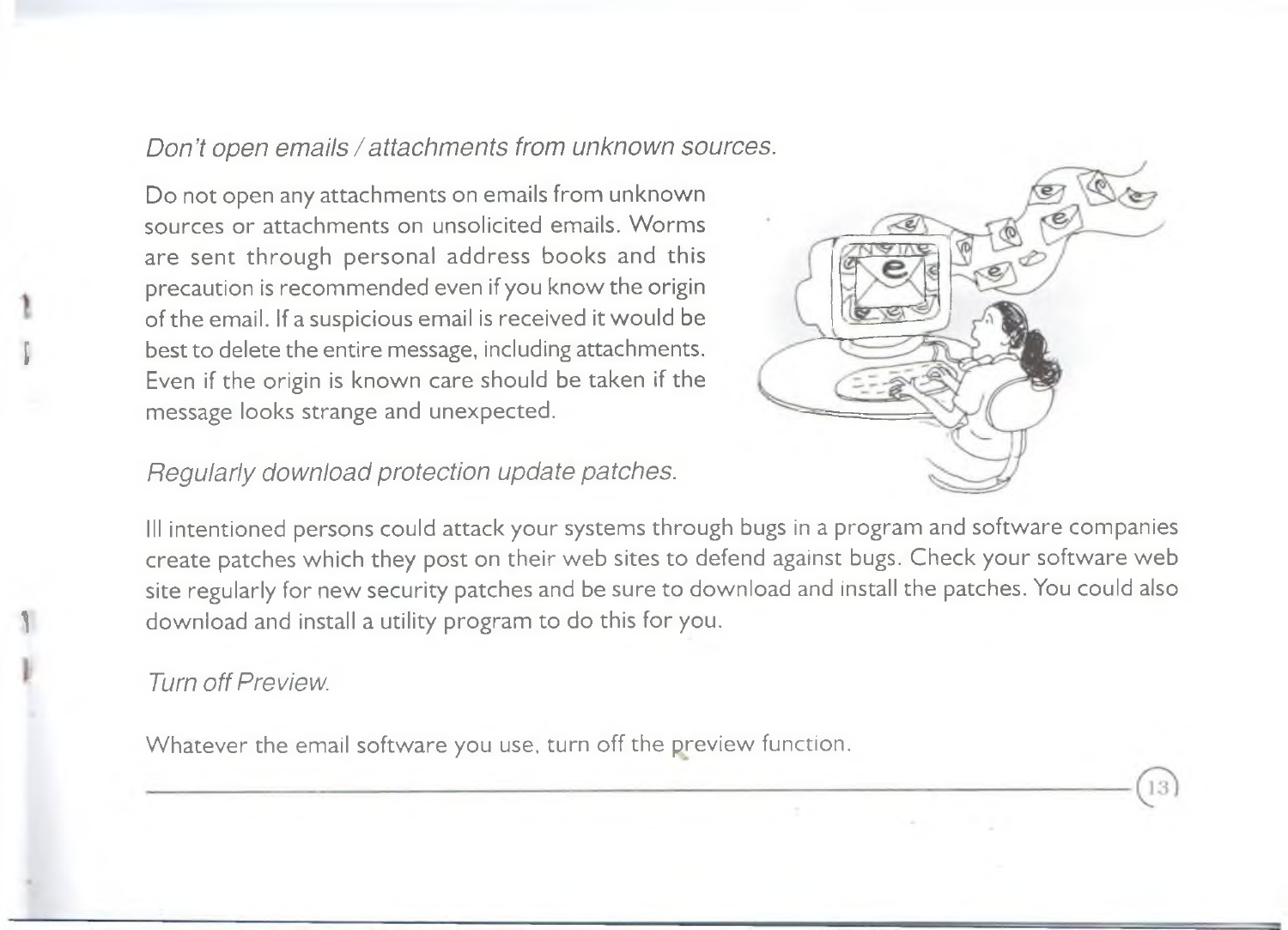#### *Don't open emails/attachments from unknown sources.*

Do not open any attachments on emails from unknown sources or attachments on unsolicited emails. Worms are sent through personal address books and this precaution is recommended even if you know the origin of the email. If a suspicious email is received it would be best to delete the entire message, including attachments. Even if the origin is known care should be taken if the message looks strange and unexpected.



*Regularly download protection update patches.*

Ill intentioned persons could attack your systems through bugs in a program and software companies create patches which they post on their web sites to defend against bugs. Check your software web site regularly for new security patches and be sure to download and install the patches. You could also download and install a utility program to do this for you.

#### *Turn off Preview.*

Whatever the email software you use, turn off the preview function.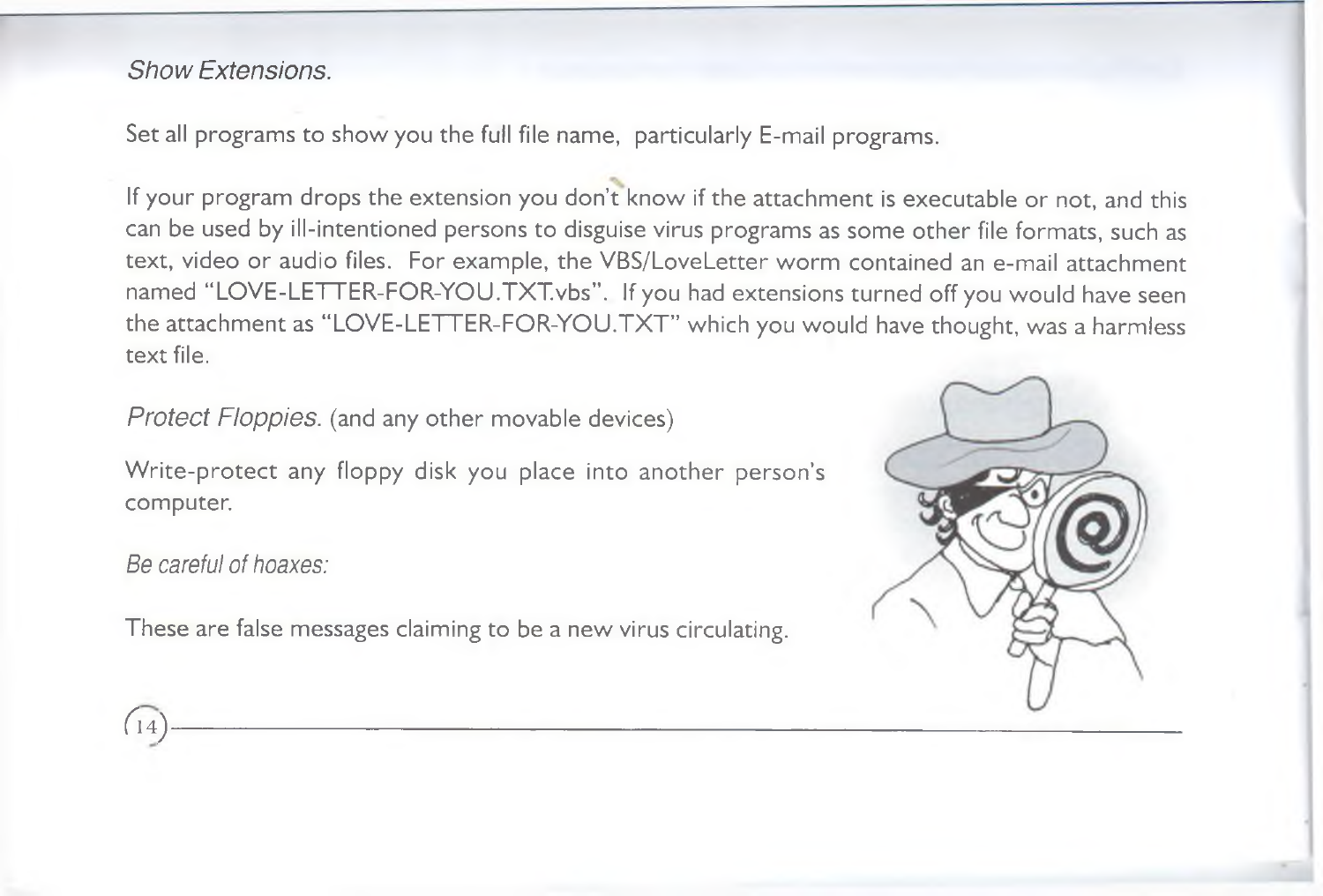#### *Show Extensions.*

Set all programs to show you the full file name, particularly E-mail programs.

If your program drops the extension you don't know if the attachment is executable or not, and this can be used by ill-intentioned persons to disguise virus programs as some other file formats, such as text, video or audio files. For example, the VBS/LoveLetter worm contained an e-mail attachment named "LOVE-LETTER-FOR-YOU.TXT.vbs". If you had extensions turned off you would have seen the attachment as "LOVE-LETTER-FOR-YOU.TXT" which you would have thought, was a harmless text file.

*Protect Floppies,* (and any other movable devices)

Write-protect any floppy disk you place into another person's computer.

*Be careful of hoaxes:*

*<sup>C</sup><sup>m</sup> ) -*

These are false messages claiming to be a new virus circulating.

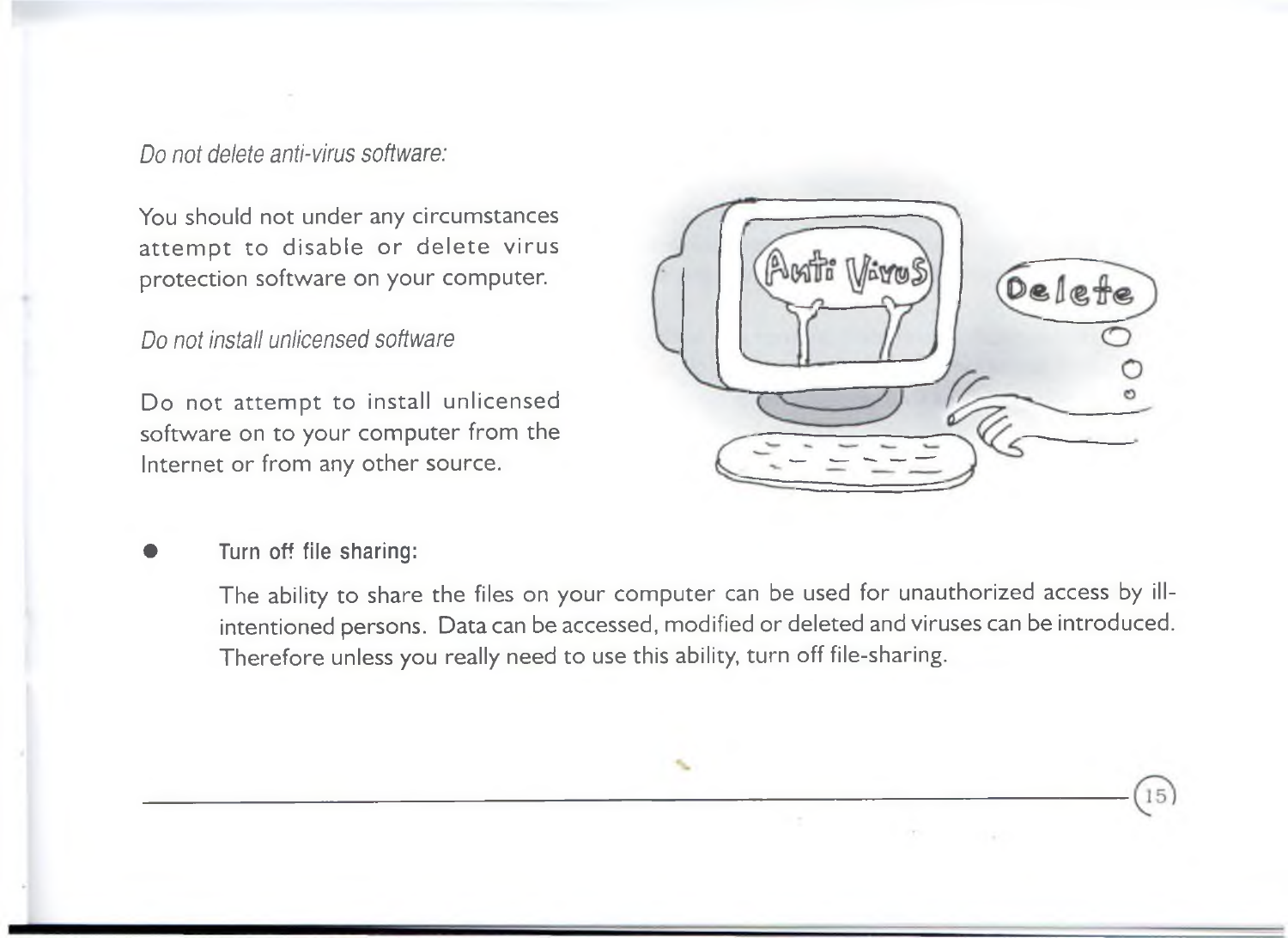*Do not delete anti-virus software:*

You should not under any circumstances attempt to disable or delete virus protection software on your computer.

*Do not install unlicensed software*

Do not attempt to install unlicensed software on to your computer from the Internet or from any other source.



15

Turn off file sharing:

The ability to share the files on your computer can be used for unauthorized access by illintentioned persons. Data can be accessed, modified or deleted and viruses can be introduced. Therefore unless you really need to use this ability, turn off file-sharing.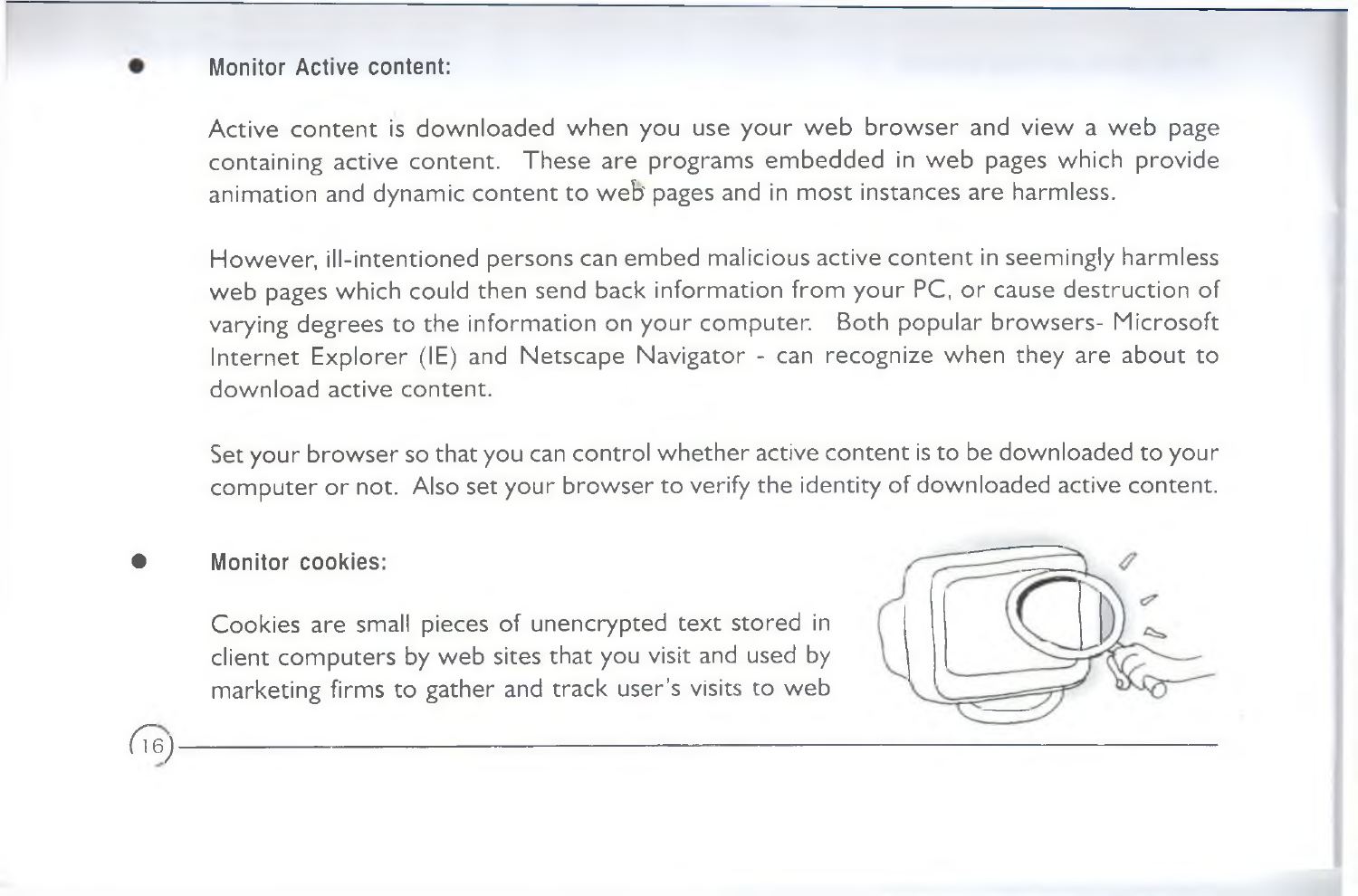#### Monitor Active content:

Active content is downloaded when you use your web browser and view a web page containing active content. These are programs embedded in web pages which provide animation and dynamic content to web' pages and in most instances are harmless.

However, ill-intentioned persons can embed malicious active content in seemingly harmless web pages which could then send back information from your PC, or cause destruction of varying degrees to the information on your computer. Both popular browsers- Microsoft Internet Explorer (IE) and Netscape Navigator - can recognize when they are about to download active content.

Set your browser so that you can control whether active content is to be downloaded to your computer or not. Also set your browser to verify the identity of downloaded active content.

Monitor cookies:

Cookies are small pieces of unencrypted text stored in client computers by web sites that you visit and used by marketing firms to gather and track user's visits to web

*( 7 e )* -----------------------------------------------------------------------------------------------------------------------------------------------------------------------------------------------------------------------------

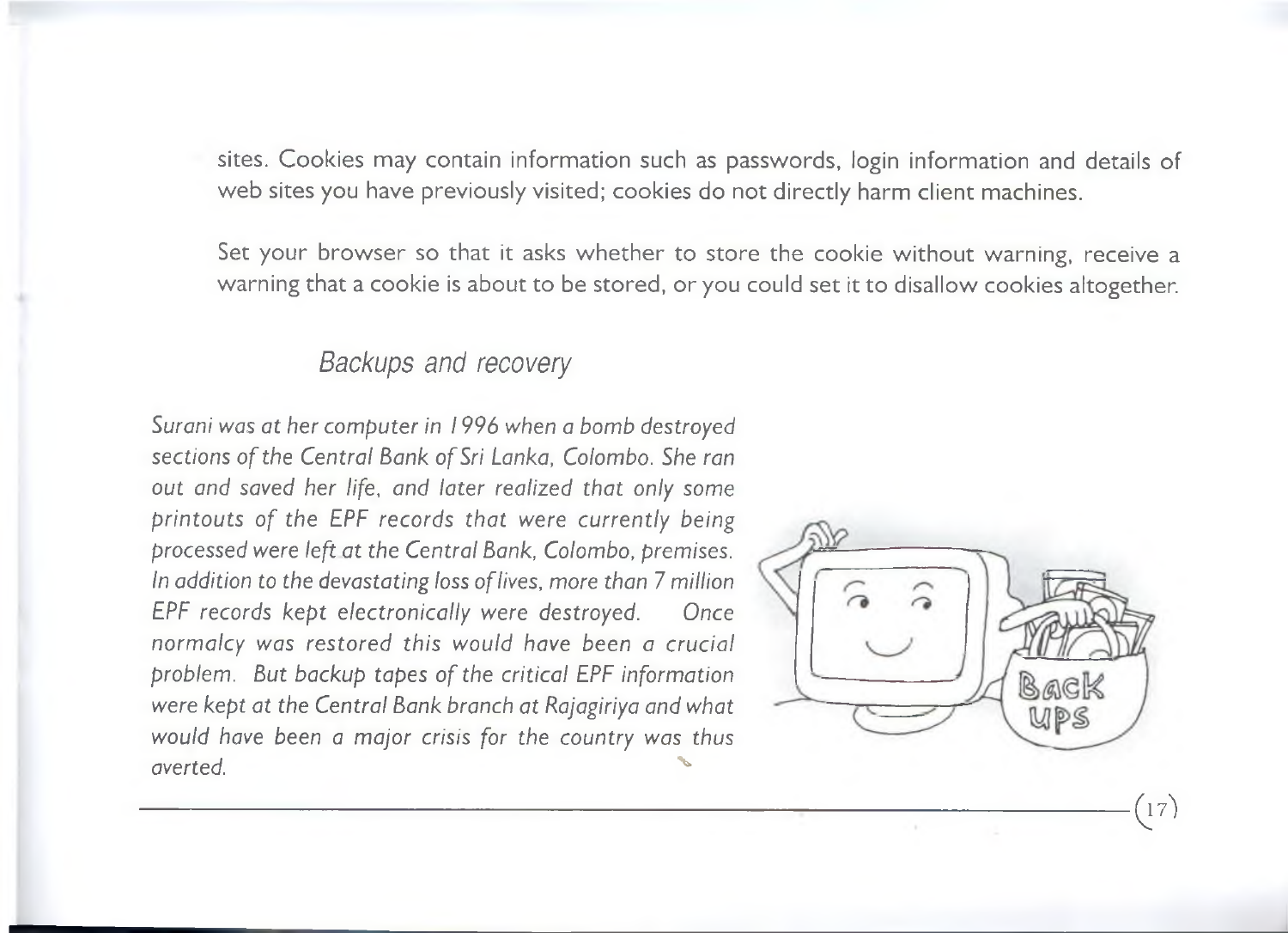sites. Cookies may contain information such as passwords, login information and details of web sites you have previously visited; cookies do not directly harm client machines.

Set your browser so that it asks whether to store the cookie without warning, receive a warning that a cookie is about to be stored, or you could set it to disallow cookies altogether.

------------------------------------------------------------------------------------------------------------------------------------------Q *y)*

#### *Backups and recovery*

*Surani was at her computer in 1996 when a bomb destroyed* sections of the Central Bank of Sri Lanka, Colombo. She ran *out and saved her life, and later realized that only some printouts of the EPF records that were currently being processed were left at the Central Bank, Colombo, premises. In addition to the devastating loss o f lives, more than* 7 *million EPF records kept electronically were destroyed. Once normalcy was restored this would have been a crucial* problem. But backup tapes of the critical EPF information *were kept at the Central Bank branch at Rajagiriya and what would have been a major crisis for the country was thus averted.* And *A* 

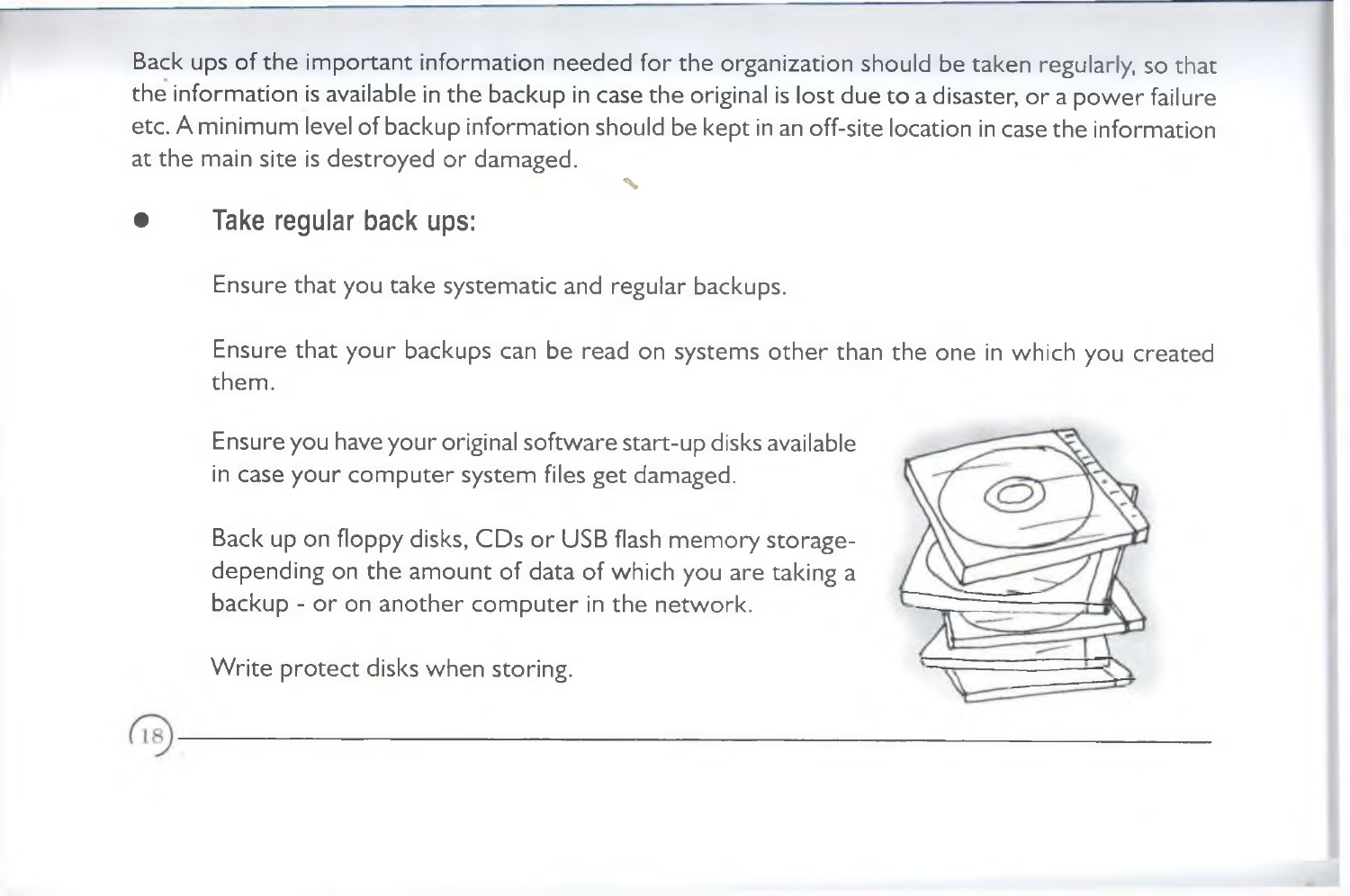Back ups of the important information needed for the organization should be taken regularly, so that the information is available in the backup in case the original is lost due to a disaster, or a power failure etc. A minimum level of backup information should be kept in an off-site location in case the information at the main site is destroyed or damaged.

%

Take regular back ups:

Ensure that you take systematic and regular backups.

Ensure that your backups can be read on systems other than the one in which you created them.

Ensure you have your original software start-up disks available in case your computer system files get damaged.

Back up on floppy disks, CDs or USB flash memory storagedepending on the amount of data of which you are taking a backup - or on another computer in the network.

Write protect disks when storing.

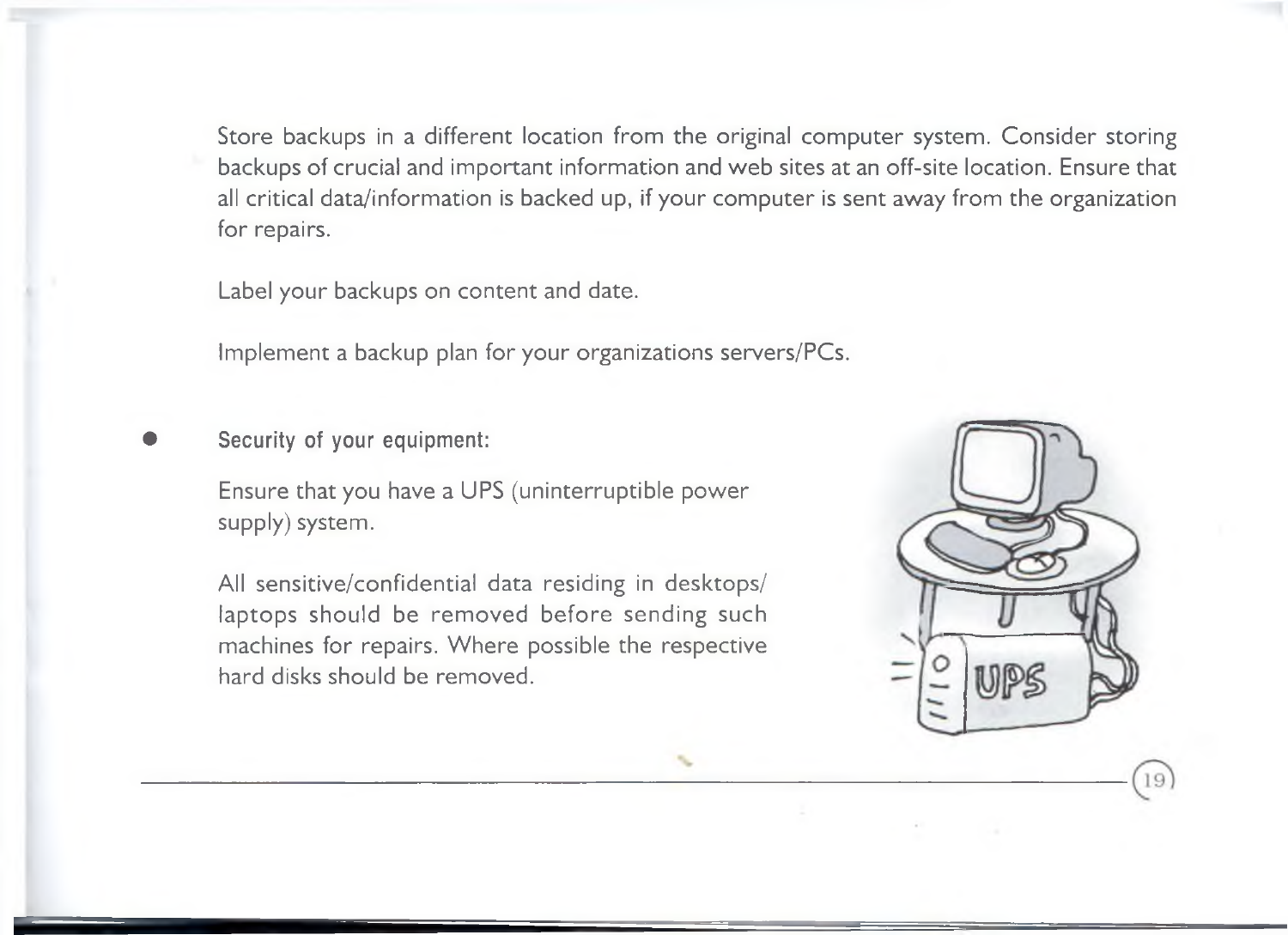Store backups in a different location from the original computer system. Consider storing backups of crucial and important information and web sites at an off-site location. Ensure that all critical data/information is backed up, if your computer is sent away from the organization for repairs.

Label your backups on content and date.

Implement a backup plan for your organizations servers/PCs.

Security of your equipment:

Ensure that you have a UPS (uninterruptible power supply) system.

All sensitive/confidential data residing in desktops/ laptops should be removed before sending such machines for repairs. Where possible the respective hard disks should be removed.

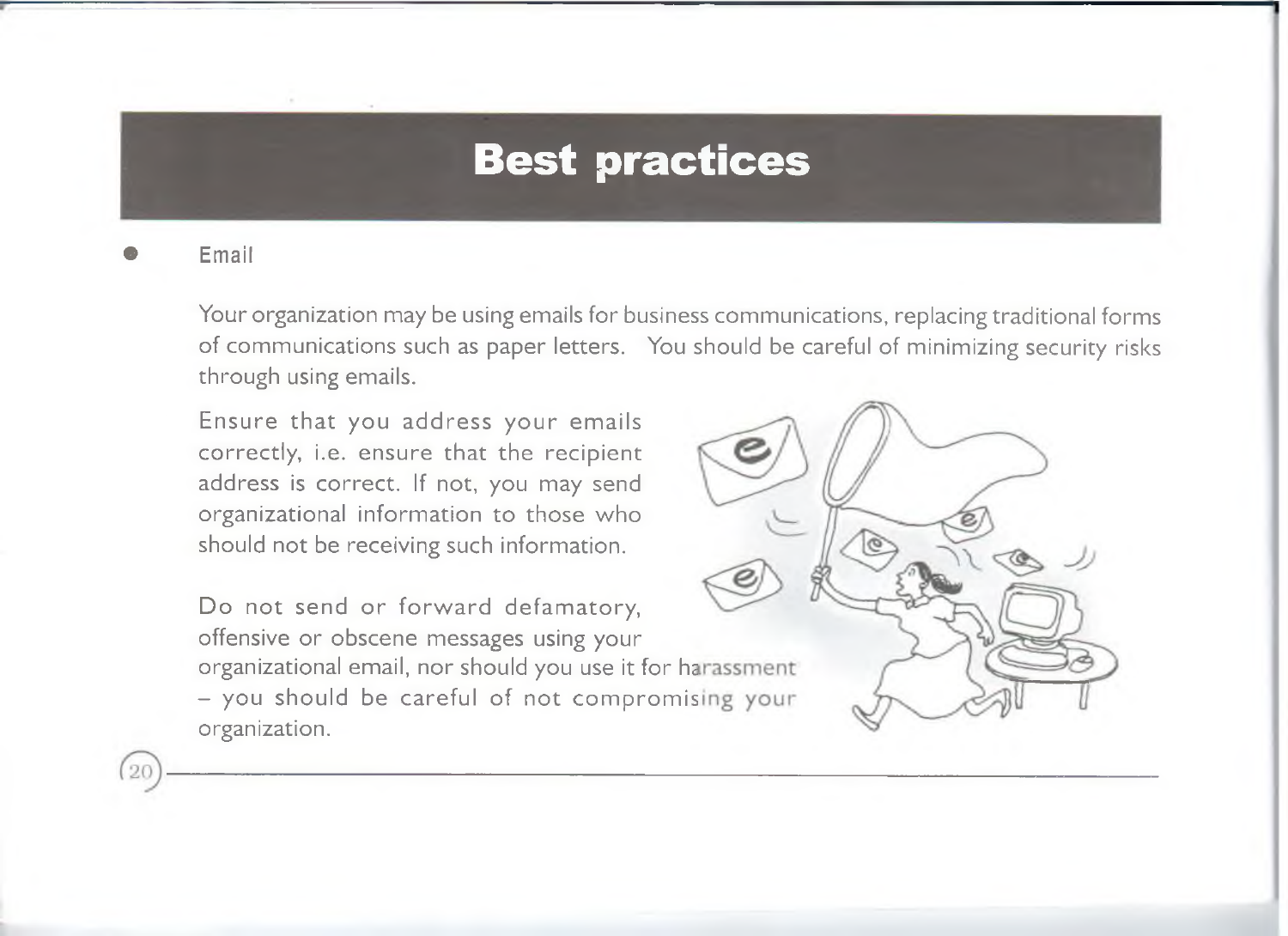# **Best practices**

**Email** 

 $(20)$ 

Your organization may be using emails for business communications, replacing traditional forms of communications such as paper letters. You should be careful of minimizing security risks through using emails.

Ensure that you address your emails correctly, i.e. ensure that the recipient address is correct. If not, you may send organizational information to those who should not be receiving such information.

Do not send or forward defamatory, offensive or obscene messages using your organizational email, nor should you use it for harassment - you should be careful of not compromising your organization.

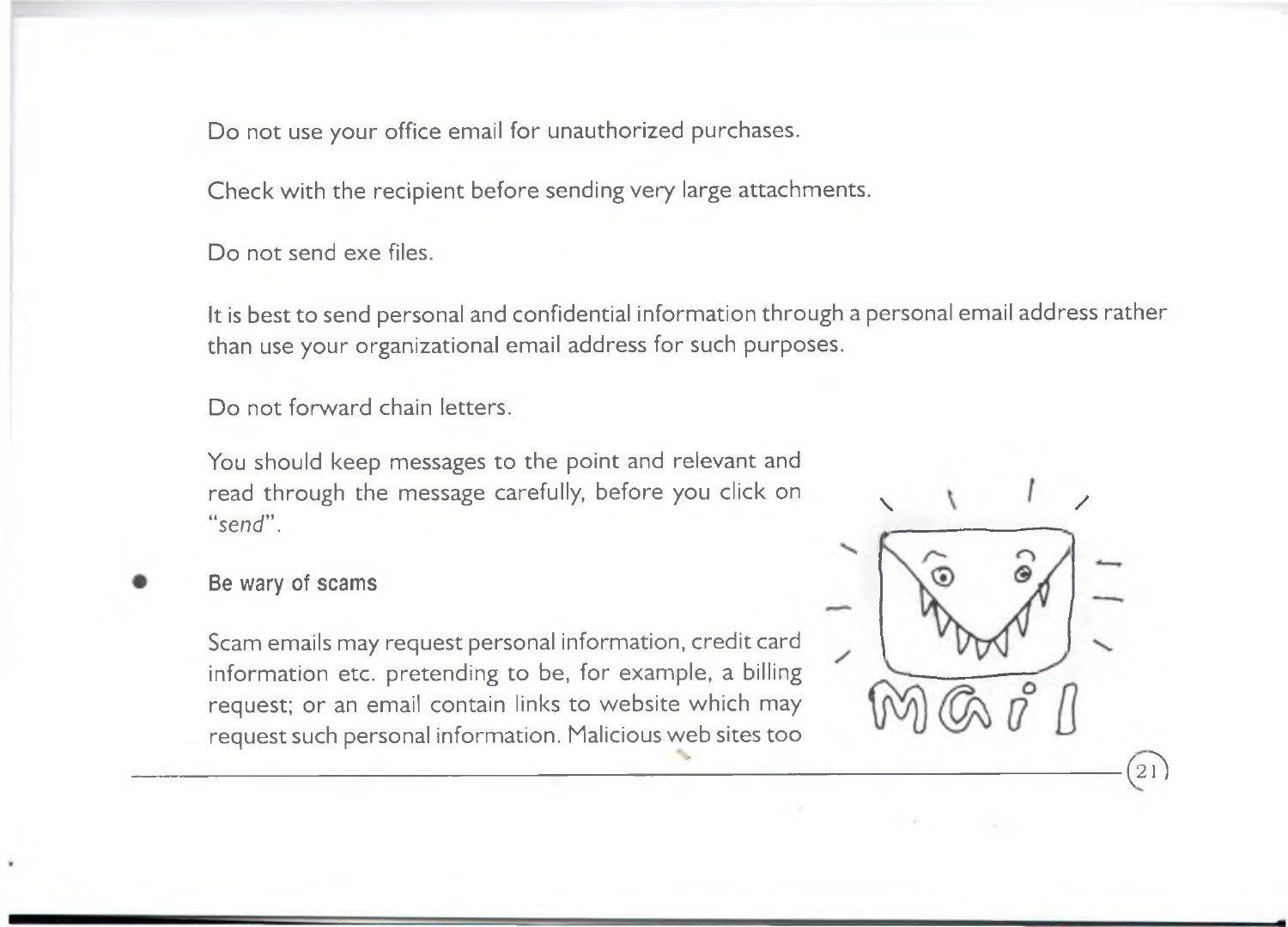Do not use your office email for unauthorized purchases.

Check with the recipient before sending very large attachments.

Do not send exe files.

It is best to send personal and confidential information through a personal email address rather than use your organizational email address for such purposes.

Do not forward chain letters.

You should keep messages to the point and relevant and read through the message carefully, before you click on " send".

Be wary of scams

Scam emails may request personal information, credit card information etc. pretending to be, for example, a billing request; or an email contain links to website which may request such personal information. Malicious web sites too

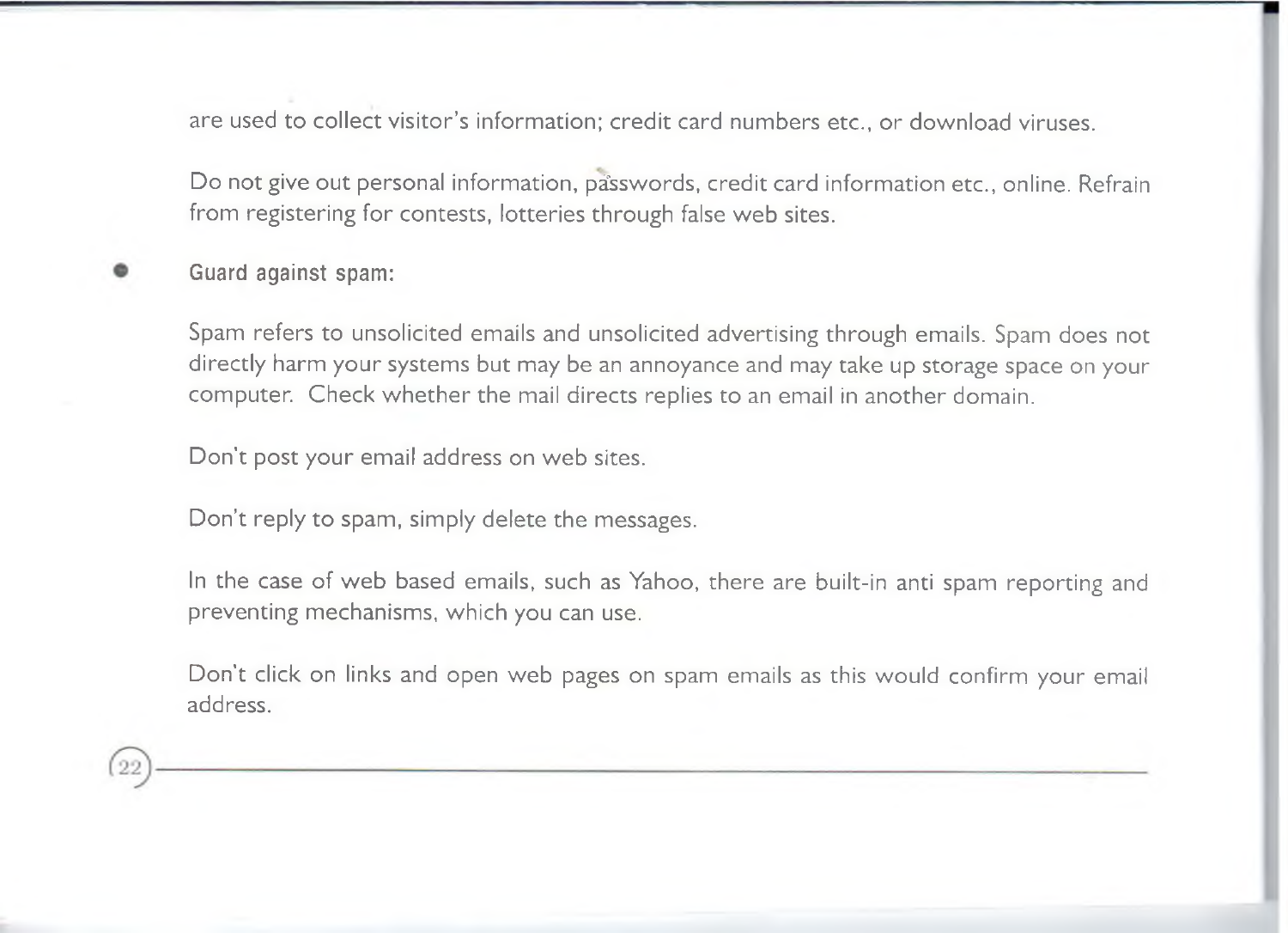are used to collect visitor's information; credit card numbers etc., or download viruses.

Do not give out personal information, passwords, credit card information etc., online. Refrain from registering for contests, lotteries through false web sites.

#### Guard against spam:

Spam refers to unsolicited emails and unsolicited advertising through emails. Spam does not directly harm your systems but may be an annoyance and may take up storage space on your computer. Check whether the mail directs replies to an email in another domain.

Don't post your email address on web sites.

Don't reply to spam, simply delete the messages.

In the case of web based emails, such as Yahoo, there are built-in anti spam reporting and preventing mechanisms, which you can use.

Don't click on links and open web pages on spam emails as this would confirm your email address.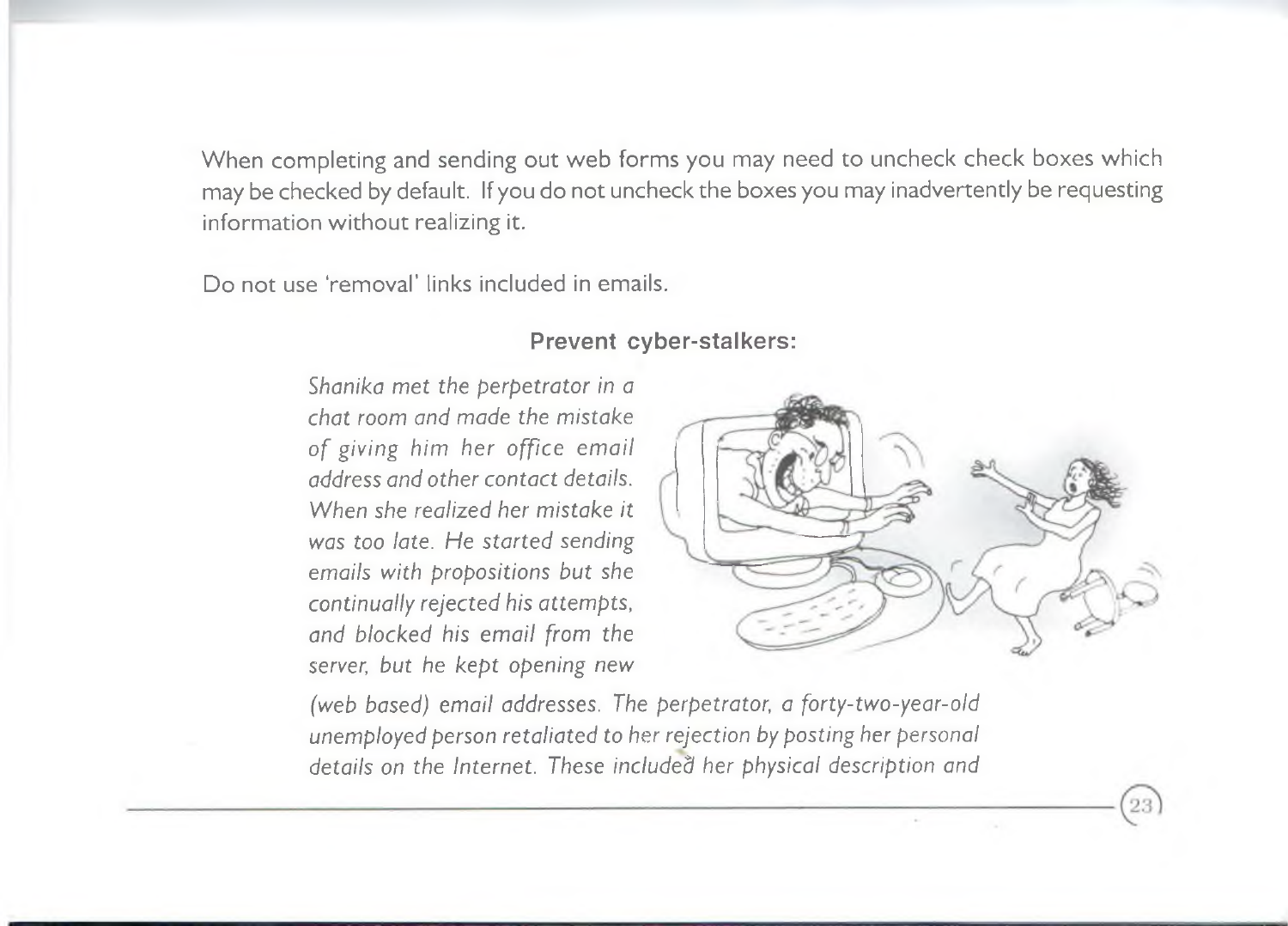When completing and sending out web forms you may need to uncheck check boxes which may be checked by default. If you do not uncheck the boxes you may inadvertently be requesting information without realizing it.

Do not use 'removal' links included in emails.

#### **Prevent cyber-stalkers:**

*Shanika met the perpetrator in a chat room and made the mistake* of giving him her office email *address and other contact details. When she realized her mistake it was too late. He started sending emails with propositions but she continually rejected his attempts*, *and blocked his email from the server, but he kept opening new*



*(web based) email addresses. The perpetrator, a forty-two-year-old unemployed person retaliated to her rejection by posting her personal details on the Internet. These included her physical description and*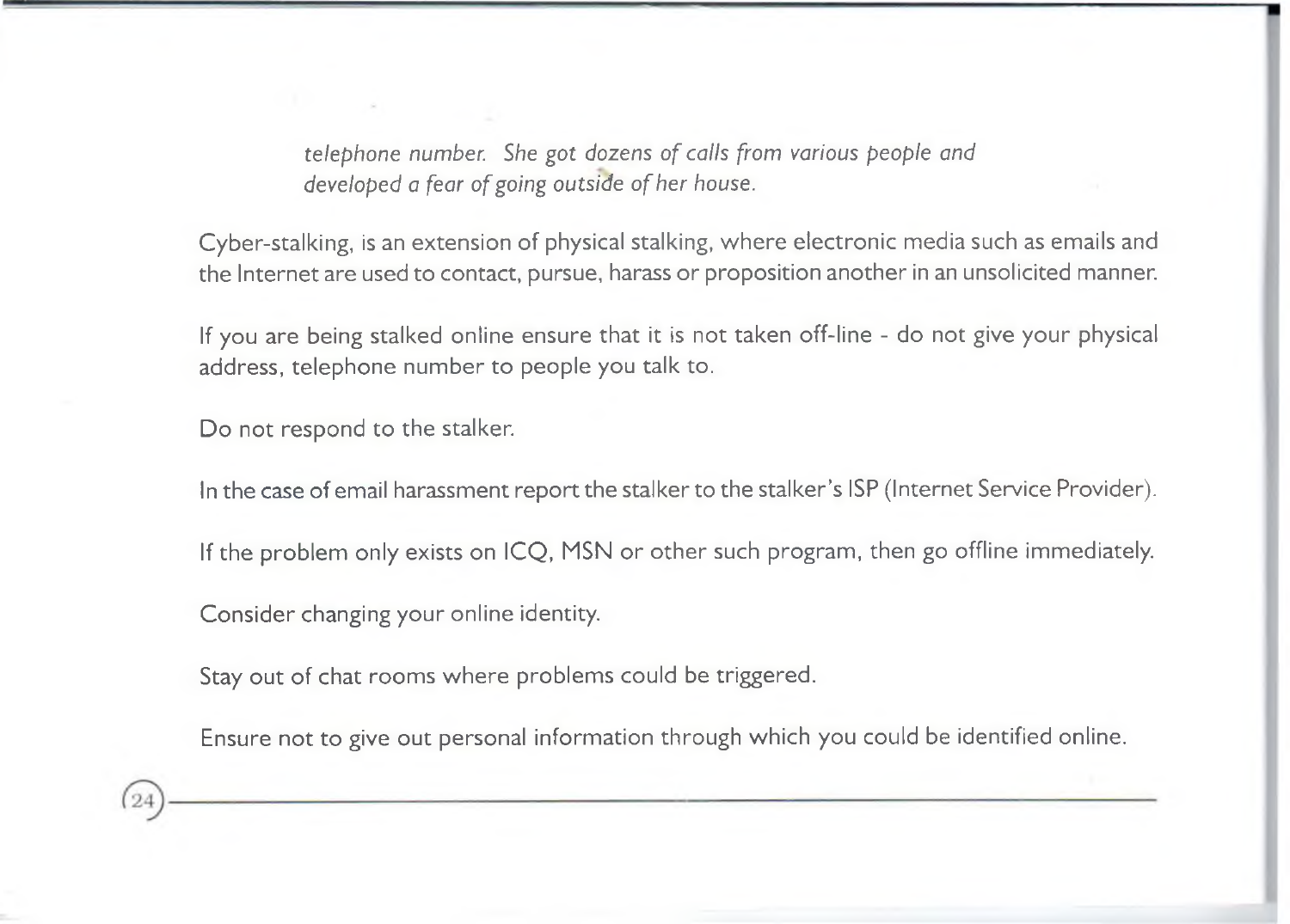*telephone number.* She got dozens of calls from various people and developed a fear of going outside of her house.

Cyber-stalking, is an extension of physical stalking, where electronic media such as emails and the Internet are used to contact, pursue, harass or proposition another in an unsolicited manner.

If you are being stalked online ensure that it is not taken off-line - do not give your physical address, telephone number to people you talk to.

Do not respond to the stalker.

In the case of email harassment report the stalker to the stalker's ISP (Internet Service Provider).

If the problem only exists on ICO, MSN or other such program, then go offline immediately.

Consider changing your online identity.

Stay out of chat rooms where problems could be triggered.

Ensure not to give out personal information through which you could be identified online.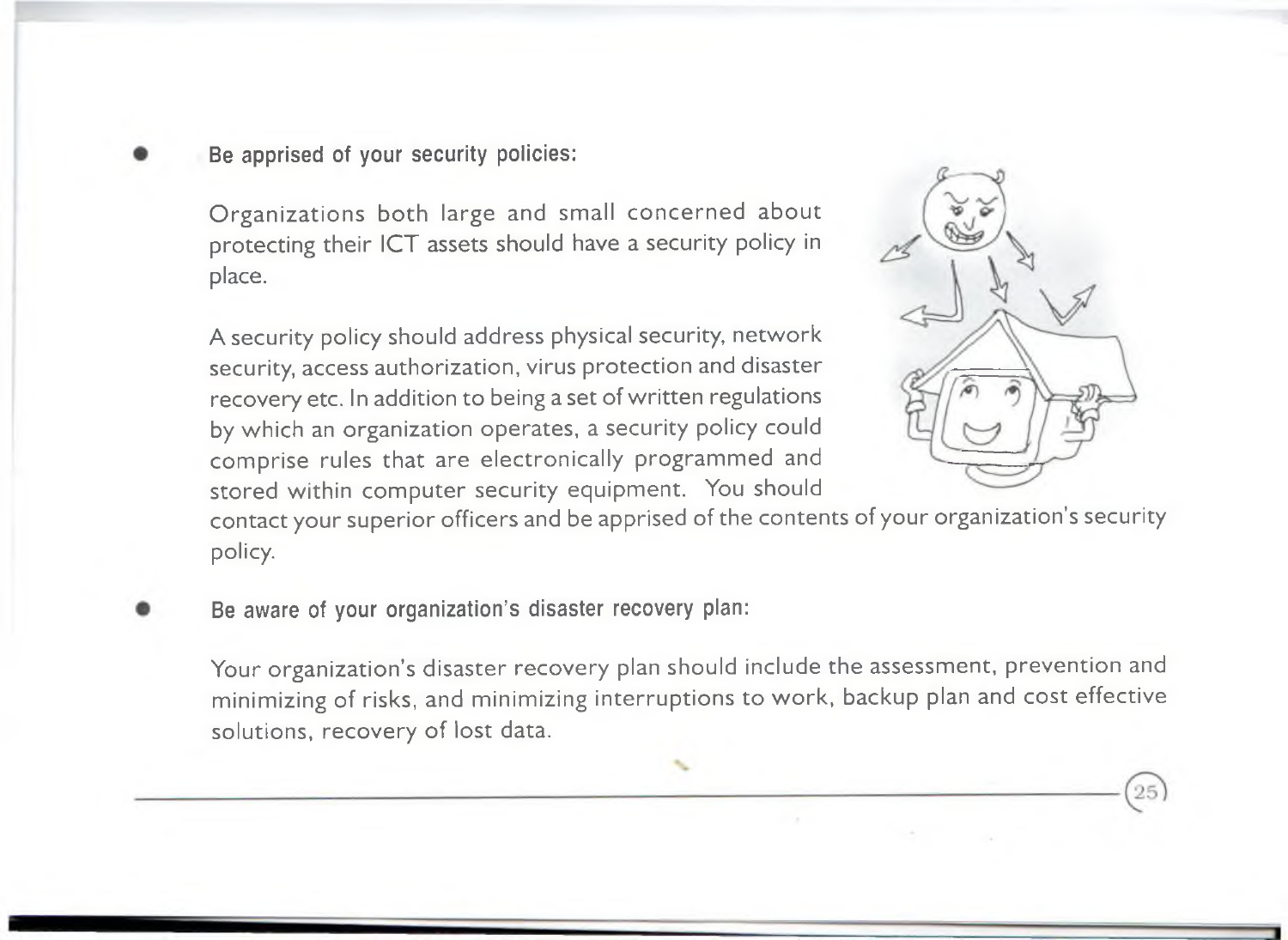Be apprised of your security policies:

Organizations both large and small concerned about protecting their ICT assets should have a security policy in place.

A security policy should address physical security, network security, access authorization, virus protection and disaster recovery etc. In addition to being a set of written regulations by which an organization operates, a security policy could comprise rules that are electronically programmed and stored within computer security equipment. You should



contact your superior officers and be apprised of the contents of your organization's security policy.

- 
- Be aware of your organization's disaster recovery plan:

Your organization's disaster recovery plan should include the assessment, prevention and minimizing of risks, and minimizing interruptions to work, backup plan and cost effective solutions, recovery of lost data.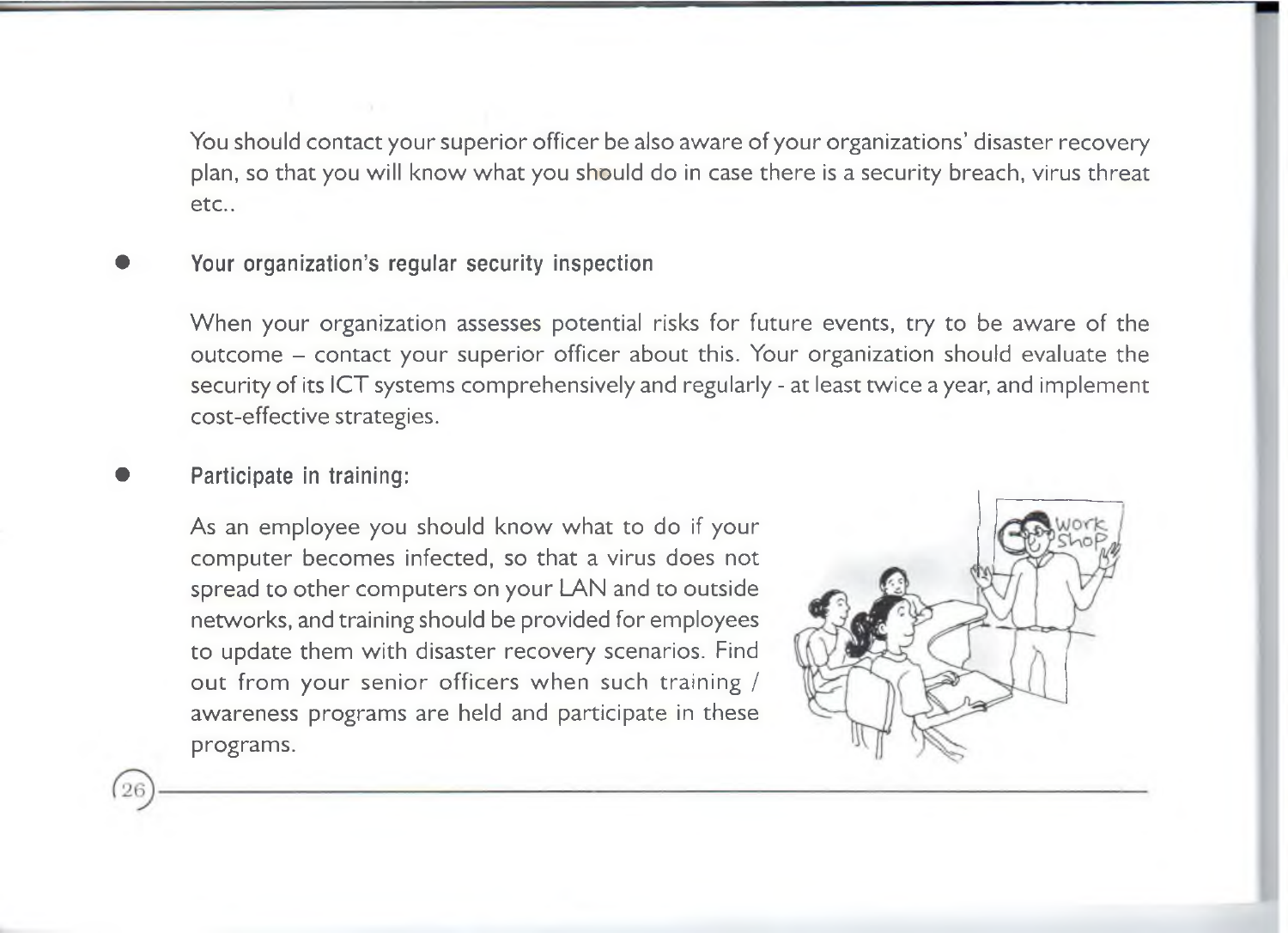You should contact your superior officer be also aware of your organizations' disaster recovery plan, so that you will know what you should do in case there is a security breach, virus threat etc..

Your organization's regular security inspection

When your organization assesses potential risks for future events, try to be aware of the outcome - contact your superior officer about this. Your organization should evaluate the security of its ICT systems comprehensively and regularly - at least twice a year, and implement cost-effective strategies.

• Participate in training:

As an employee you should know what to do if your com puter becomes infected, so that a virus does not spread to other computers on your LAN and to outside networks, and training should be provided for employees to update them with disaster recovery scenarios. Find out from your senior officers when such training / awareness programs are held and participate in these programs.

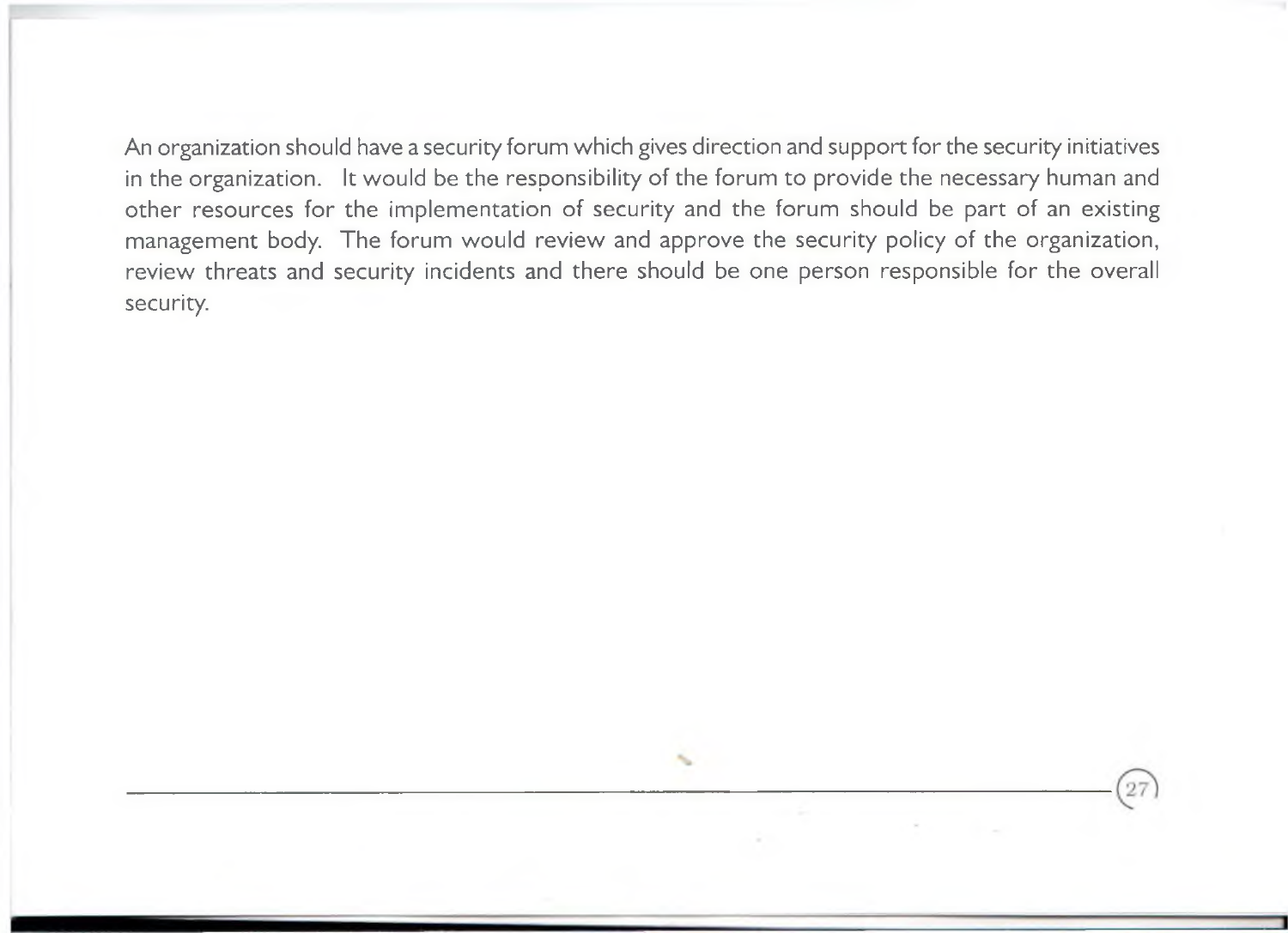An organization should have a security forum which gives direction and support for the security initiatives in the organization. It would be the responsibility of the forum to provide the necessary human and other resources for the implementation of security and the forum should be part of an existing management body. The forum would review and approve the security policy of the organization, review threats and security incidents and there should be one person responsible for the overall security.